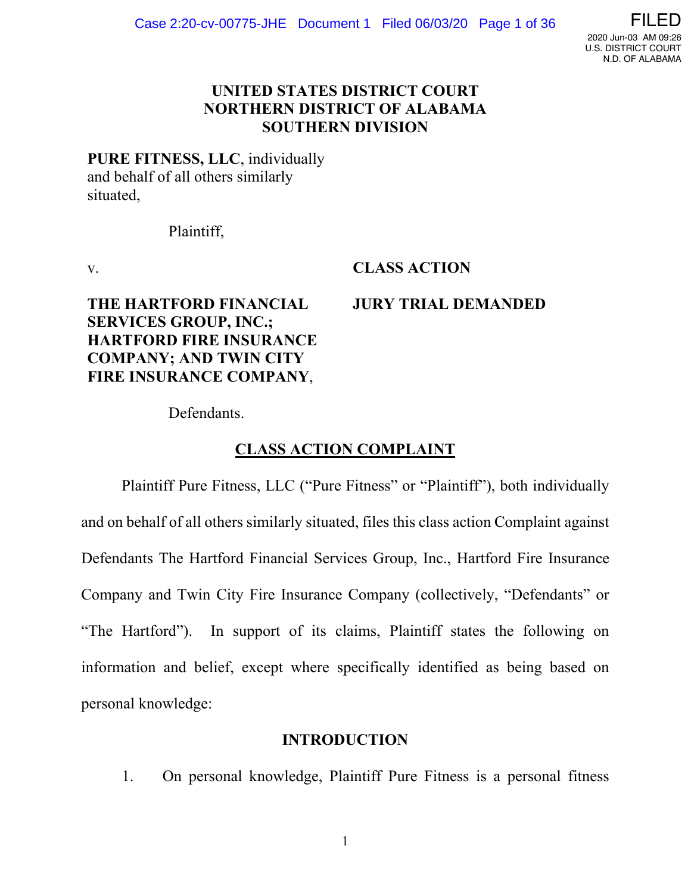

# **UNITED STATES DISTRICT COURT NORTHERN DISTRICT OF ALABAMA SOUTHERN DIVISION**

# **PURE FITNESS, LLC**, individually and behalf of all others similarly situated,

Plaintiff,

v.

# **CLASS ACTION**

# **THE HARTFORD FINANCIAL SERVICES GROUP, INC.; HARTFORD FIRE INSURANCE COMPANY; AND TWIN CITY FIRE INSURANCE COMPANY**,

#### **JURY TRIAL DEMANDED**

Defendants.

# **CLASS ACTION COMPLAINT**

Plaintiff Pure Fitness, LLC ("Pure Fitness" or "Plaintiff"), both individually and on behalf of all others similarly situated, files this class action Complaint against Defendants The Hartford Financial Services Group, Inc., Hartford Fire Insurance Company and Twin City Fire Insurance Company (collectively, "Defendants" or "The Hartford"). In support of its claims, Plaintiff states the following on information and belief, except where specifically identified as being based on personal knowledge:

## **INTRODUCTION**

1. On personal knowledge, Plaintiff Pure Fitness is a personal fitness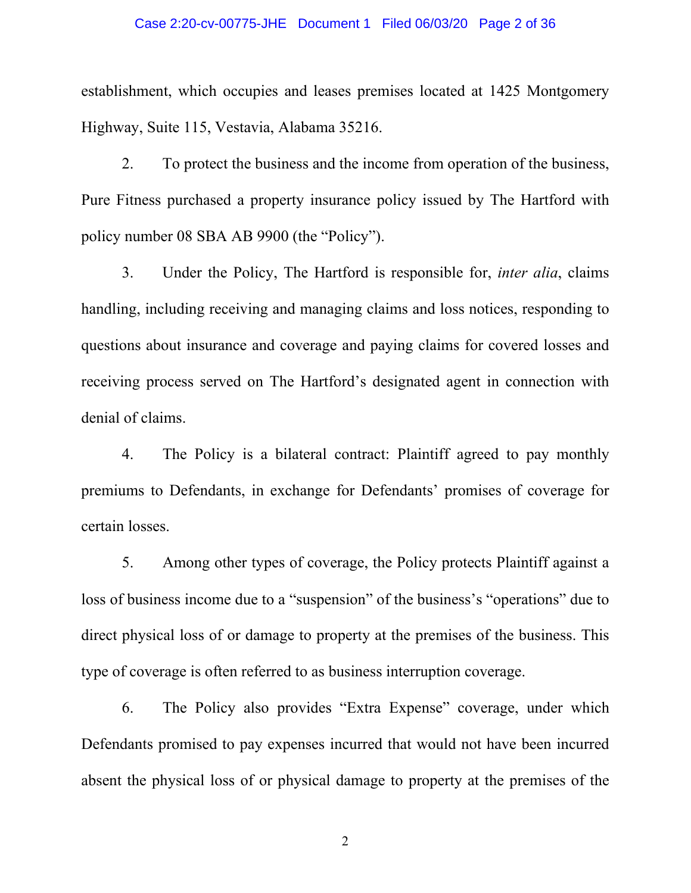#### Case 2:20-cv-00775-JHE Document 1 Filed 06/03/20 Page 2 of 36

establishment, which occupies and leases premises located at 1425 Montgomery Highway, Suite 115, Vestavia, Alabama 35216.

2. To protect the business and the income from operation of the business, Pure Fitness purchased a property insurance policy issued by The Hartford with policy number 08 SBA AB 9900 (the "Policy").

3. Under the Policy, The Hartford is responsible for, *inter alia*, claims handling, including receiving and managing claims and loss notices, responding to questions about insurance and coverage and paying claims for covered losses and receiving process served on The Hartford's designated agent in connection with denial of claims.

4. The Policy is a bilateral contract: Plaintiff agreed to pay monthly premiums to Defendants, in exchange for Defendants' promises of coverage for certain losses.

5. Among other types of coverage, the Policy protects Plaintiff against a loss of business income due to a "suspension" of the business's "operations" due to direct physical loss of or damage to property at the premises of the business. This type of coverage is often referred to as business interruption coverage.

6. The Policy also provides "Extra Expense" coverage, under which Defendants promised to pay expenses incurred that would not have been incurred absent the physical loss of or physical damage to property at the premises of the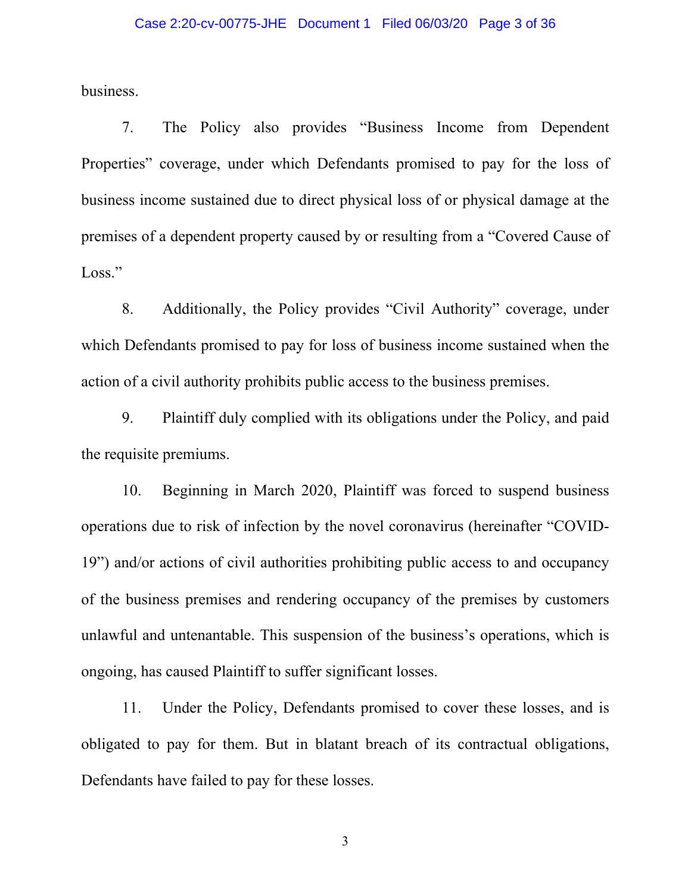business.

7. The Policy also provides "Business Income from Dependent Properties" coverage, under which Defendants promised to pay for the loss of business income sustained due to direct physical loss of or physical damage at the premises of a dependent property caused by or resulting from a "Covered Cause of Loss."

8. Additionally, the Policy provides "Civil Authority" coverage, under which Defendants promised to pay for loss of business income sustained when the action of a civil authority prohibits public access to the business premises.

9. Plaintiff duly complied with its obligations under the Policy, and paid the requisite premiums.

10. Beginning in March 2020, Plaintiff was forced to suspend business operations due to risk of infection by the novel coronavirus (hereinafter "COVID-19") and/or actions of civil authorities prohibiting public access to and occupancy of the business premises and rendering occupancy of the premises by customers unlawful and untenantable. This suspension of the business's operations, which is ongoing, has caused Plaintiff to suffer significant losses.

11. Under the Policy, Defendants promised to cover these losses, and is obligated to pay for them. But in blatant breach of its contractual obligations, Defendants have failed to pay for these losses.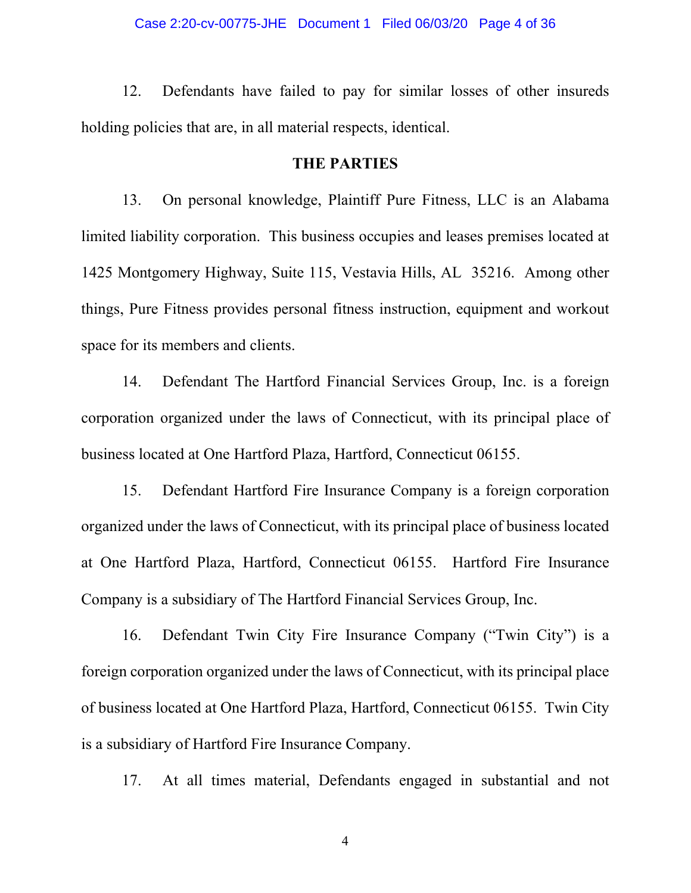12. Defendants have failed to pay for similar losses of other insureds holding policies that are, in all material respects, identical.

# **THE PARTIES**

13. On personal knowledge, Plaintiff Pure Fitness, LLC is an Alabama limited liability corporation. This business occupies and leases premises located at 1425 Montgomery Highway, Suite 115, Vestavia Hills, AL 35216. Among other things, Pure Fitness provides personal fitness instruction, equipment and workout space for its members and clients.

14. Defendant The Hartford Financial Services Group, Inc. is a foreign corporation organized under the laws of Connecticut, with its principal place of business located at One Hartford Plaza, Hartford, Connecticut 06155.

15. Defendant Hartford Fire Insurance Company is a foreign corporation organized under the laws of Connecticut, with its principal place of business located at One Hartford Plaza, Hartford, Connecticut 06155. Hartford Fire Insurance Company is a subsidiary of The Hartford Financial Services Group, Inc.

16. Defendant Twin City Fire Insurance Company ("Twin City") is a foreign corporation organized under the laws of Connecticut, with its principal place of business located at One Hartford Plaza, Hartford, Connecticut 06155. Twin City is a subsidiary of Hartford Fire Insurance Company.

17. At all times material, Defendants engaged in substantial and not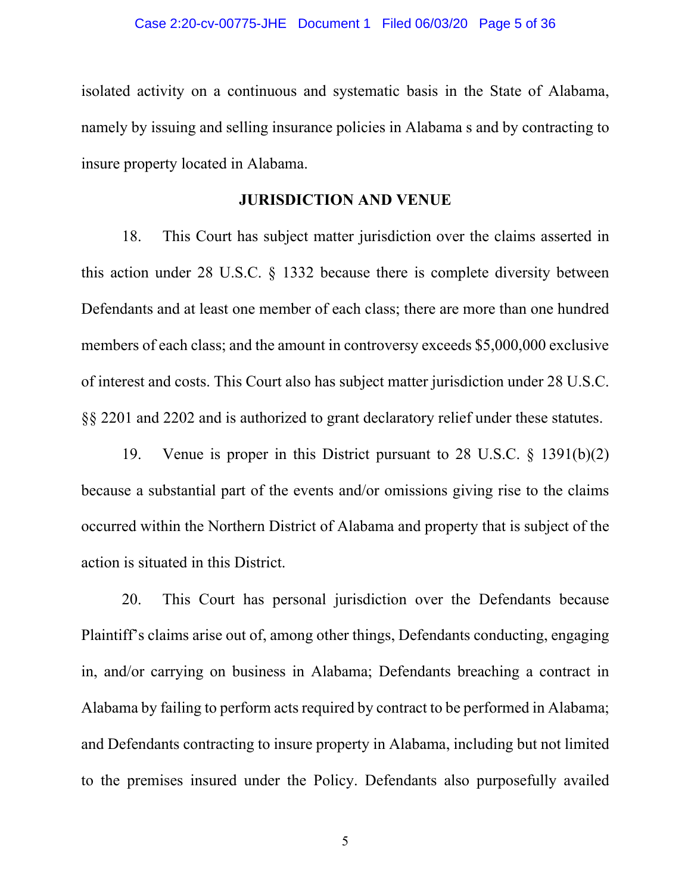isolated activity on a continuous and systematic basis in the State of Alabama, namely by issuing and selling insurance policies in Alabama s and by contracting to insure property located in Alabama.

# **JURISDICTION AND VENUE**

18. This Court has subject matter jurisdiction over the claims asserted in this action under 28 U.S.C. § 1332 because there is complete diversity between Defendants and at least one member of each class; there are more than one hundred members of each class; and the amount in controversy exceeds \$5,000,000 exclusive of interest and costs. This Court also has subject matter jurisdiction under 28 U.S.C. §§ 2201 and 2202 and is authorized to grant declaratory relief under these statutes.

19. Venue is proper in this District pursuant to 28 U.S.C. § 1391(b)(2) because a substantial part of the events and/or omissions giving rise to the claims occurred within the Northern District of Alabama and property that is subject of the action is situated in this District.

20. This Court has personal jurisdiction over the Defendants because Plaintiff's claims arise out of, among other things, Defendants conducting, engaging in, and/or carrying on business in Alabama; Defendants breaching a contract in Alabama by failing to perform acts required by contract to be performed in Alabama; and Defendants contracting to insure property in Alabama, including but not limited to the premises insured under the Policy. Defendants also purposefully availed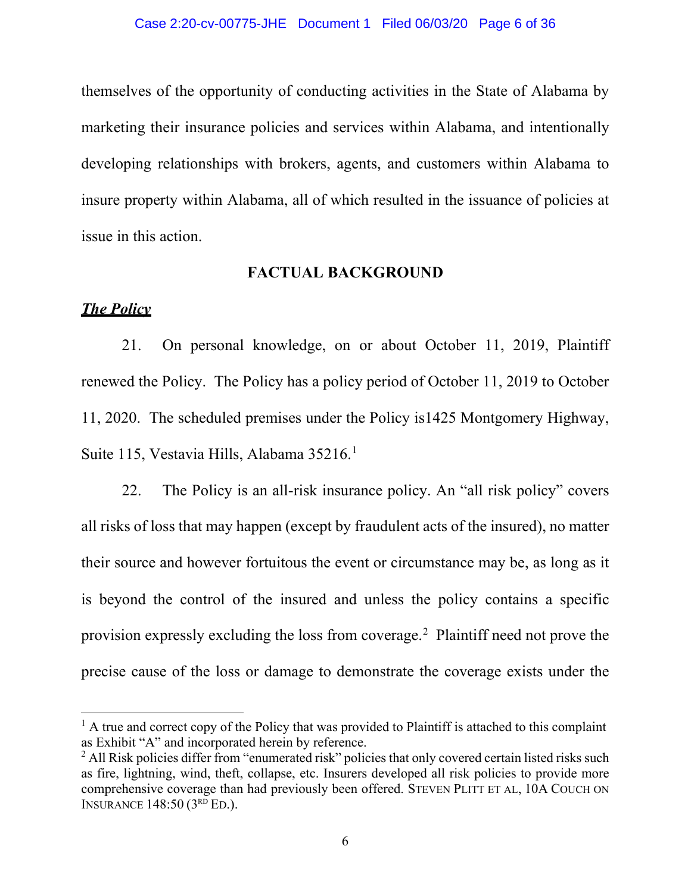themselves of the opportunity of conducting activities in the State of Alabama by marketing their insurance policies and services within Alabama, and intentionally developing relationships with brokers, agents, and customers within Alabama to insure property within Alabama, all of which resulted in the issuance of policies at issue in this action.

# **FACTUAL BACKGROUND**

# *The Policy*

21. On personal knowledge, on or about October 11, 2019, Plaintiff renewed the Policy. The Policy has a policy period of October 11, 2019 to October 11, 2020. The scheduled premises under the Policy is1425 Montgomery Highway, Suite 115, Vestavia Hills, Alabama 35216. [1](#page-5-0)

22. The Policy is an all-risk insurance policy. An "all risk policy" covers all risks of loss that may happen (except by fraudulent acts of the insured), no matter their source and however fortuitous the event or circumstance may be, as long as it is beyond the control of the insured and unless the policy contains a specific provision expressly excluding the loss from coverage.<sup>[2](#page-5-1)</sup> Plaintiff need not prove the precise cause of the loss or damage to demonstrate the coverage exists under the

<span id="page-5-0"></span> $<sup>1</sup>$  A true and correct copy of the Policy that was provided to Plaintiff is attached to this complaint</sup> as Exhibit "A" and incorporated herein by reference.

<span id="page-5-1"></span><sup>&</sup>lt;sup>2</sup> All Risk policies differ from "enumerated risk" policies that only covered certain listed risks such as fire, lightning, wind, theft, collapse, etc. Insurers developed all risk policies to provide more comprehensive coverage than had previously been offered. STEVEN PLITT ET AL, 10A COUCH ON INSURANCE  $148:50$  ( $3^{RD}$  ED.).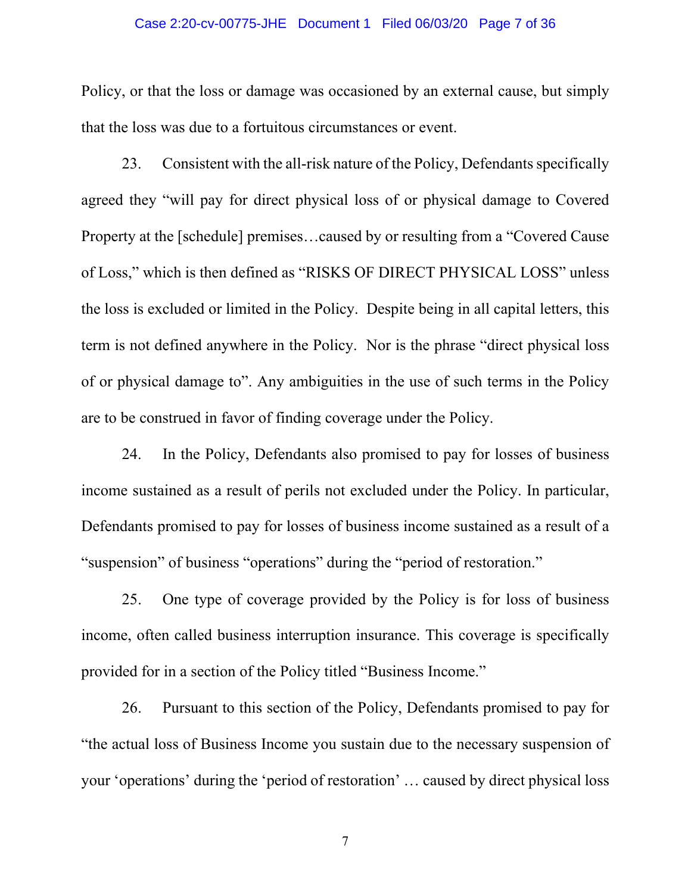#### Case 2:20-cv-00775-JHE Document 1 Filed 06/03/20 Page 7 of 36

Policy, or that the loss or damage was occasioned by an external cause, but simply that the loss was due to a fortuitous circumstances or event.

23. Consistent with the all-risk nature of the Policy, Defendants specifically agreed they "will pay for direct physical loss of or physical damage to Covered Property at the [schedule] premises…caused by or resulting from a "Covered Cause of Loss," which is then defined as "RISKS OF DIRECT PHYSICAL LOSS" unless the loss is excluded or limited in the Policy. Despite being in all capital letters, this term is not defined anywhere in the Policy. Nor is the phrase "direct physical loss of or physical damage to". Any ambiguities in the use of such terms in the Policy are to be construed in favor of finding coverage under the Policy.

24. In the Policy, Defendants also promised to pay for losses of business income sustained as a result of perils not excluded under the Policy. In particular, Defendants promised to pay for losses of business income sustained as a result of a "suspension" of business "operations" during the "period of restoration."

25. One type of coverage provided by the Policy is for loss of business income, often called business interruption insurance. This coverage is specifically provided for in a section of the Policy titled "Business Income."

26. Pursuant to this section of the Policy, Defendants promised to pay for "the actual loss of Business Income you sustain due to the necessary suspension of your 'operations' during the 'period of restoration' … caused by direct physical loss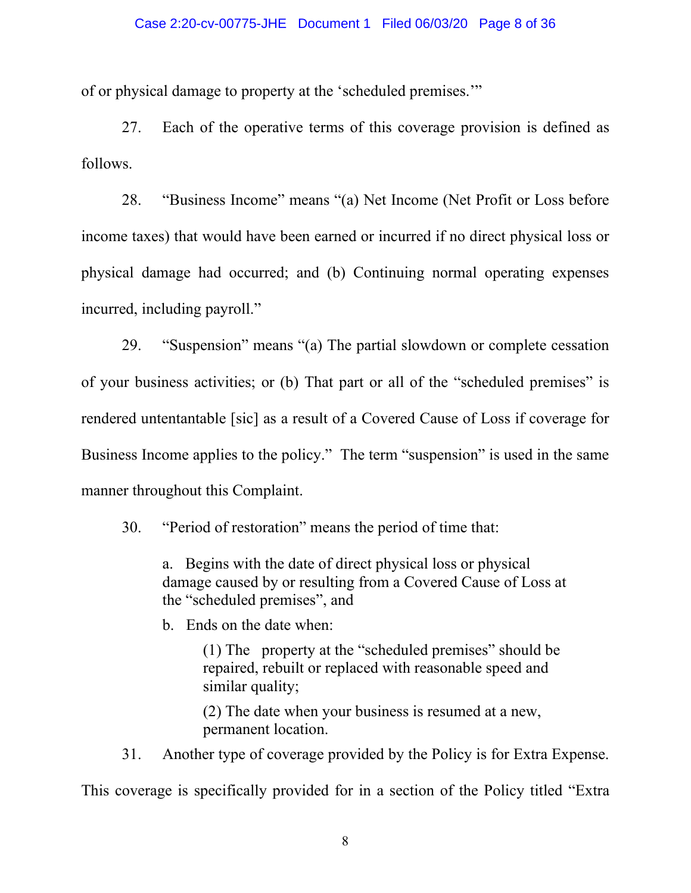#### Case 2:20-cv-00775-JHE Document 1 Filed 06/03/20 Page 8 of 36

of or physical damage to property at the 'scheduled premises.'"

27. Each of the operative terms of this coverage provision is defined as follows.

28. "Business Income" means "(a) Net Income (Net Profit or Loss before income taxes) that would have been earned or incurred if no direct physical loss or physical damage had occurred; and (b) Continuing normal operating expenses incurred, including payroll."

29. "Suspension" means "(a) The partial slowdown or complete cessation of your business activities; or (b) That part or all of the "scheduled premises" is rendered untentantable [sic] as a result of a Covered Cause of Loss if coverage for Business Income applies to the policy." The term "suspension" is used in the same manner throughout this Complaint.

30. "Period of restoration" means the period of time that:

a. Begins with the date of direct physical loss or physical damage caused by or resulting from a Covered Cause of Loss at the "scheduled premises", and

b. Ends on the date when:

(1) The property at the "scheduled premises" should be repaired, rebuilt or replaced with reasonable speed and similar quality;

(2) The date when your business is resumed at a new, permanent location.

31. Another type of coverage provided by the Policy is for Extra Expense.

This coverage is specifically provided for in a section of the Policy titled "Extra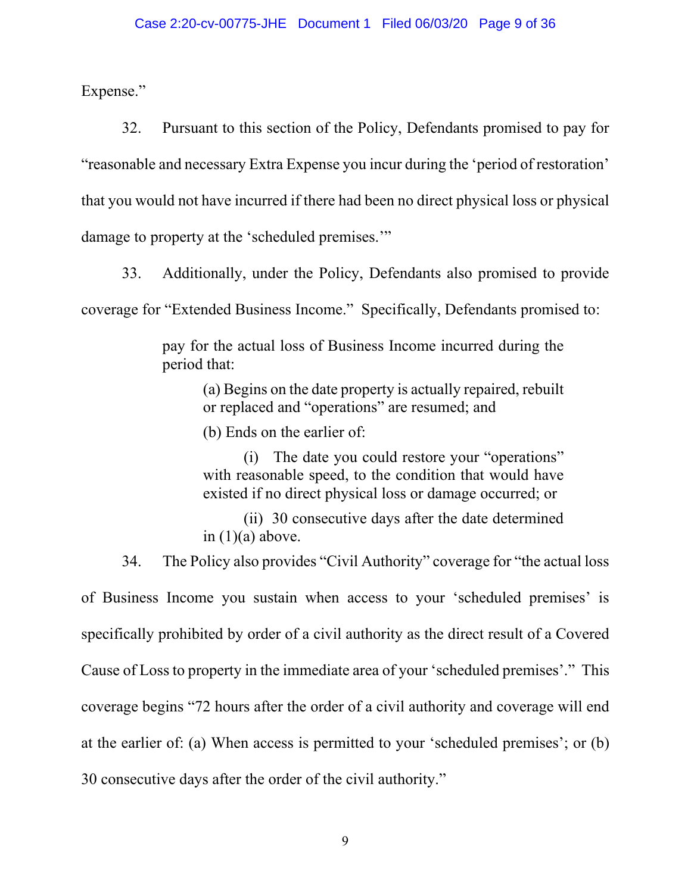Expense."

32. Pursuant to this section of the Policy, Defendants promised to pay for "reasonable and necessary Extra Expense you incur during the 'period of restoration' that you would not have incurred if there had been no direct physical loss or physical damage to property at the 'scheduled premises.'"

33. Additionally, under the Policy, Defendants also promised to provide coverage for "Extended Business Income." Specifically, Defendants promised to:

> pay for the actual loss of Business Income incurred during the period that:

(a) Begins on the date property is actually repaired, rebuilt or replaced and "operations" are resumed; and

(b) Ends on the earlier of:

(i) The date you could restore your "operations" with reasonable speed, to the condition that would have existed if no direct physical loss or damage occurred; or

(ii) 30 consecutive days after the date determined in  $(1)(a)$  above.

34. The Policy also provides "Civil Authority" coverage for "the actual loss

of Business Income you sustain when access to your 'scheduled premises' is specifically prohibited by order of a civil authority as the direct result of a Covered Cause of Loss to property in the immediate area of your 'scheduled premises'." This coverage begins "72 hours after the order of a civil authority and coverage will end at the earlier of: (a) When access is permitted to your 'scheduled premises'; or (b) 30 consecutive days after the order of the civil authority."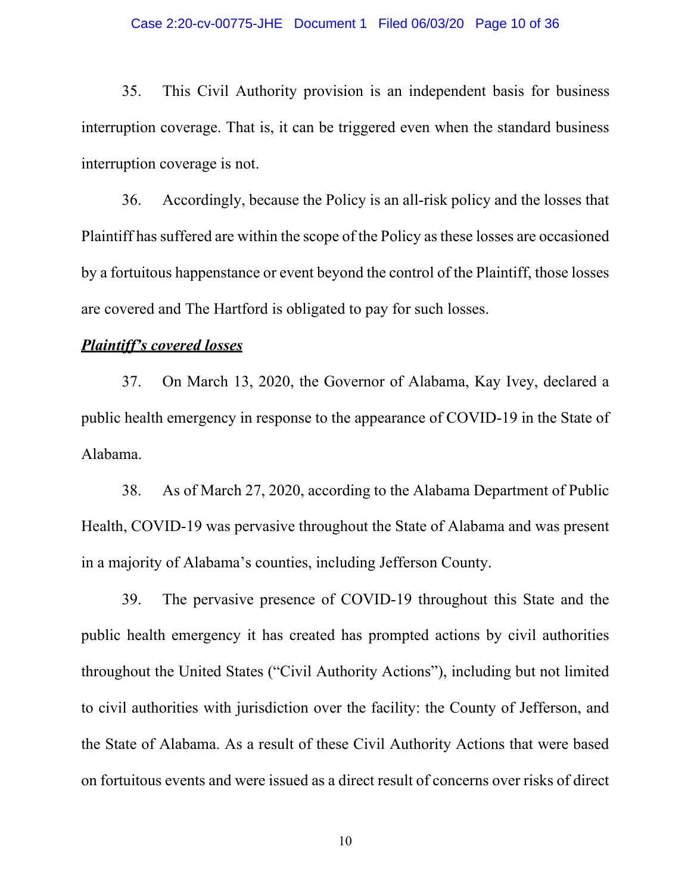#### Case 2:20-cv-00775-JHE Document 1 Filed 06/03/20 Page 10 of 36

35. This Civil Authority provision is an independent basis for business interruption coverage. That is, it can be triggered even when the standard business interruption coverage is not.

36. Accordingly, because the Policy is an all-risk policy and the losses that Plaintiff has suffered are within the scope of the Policy as these losses are occasioned by a fortuitous happenstance or event beyond the control of the Plaintiff, those losses are covered and The Hartford is obligated to pay for such losses.

#### *Plaintiff's covered losses*

37. On March 13, 2020, the Governor of Alabama, Kay Ivey, declared a public health emergency in response to the appearance of COVID-19 in the State of Alabama.

38. As of March 27, 2020, according to the Alabama Department of Public Health, COVID-19 was pervasive throughout the State of Alabama and was present in a majority of Alabama's counties, including Jefferson County.

39. The pervasive presence of COVID-19 throughout this State and the public health emergency it has created has prompted actions by civil authorities throughout the United States ("Civil Authority Actions"), including but not limited to civil authorities with jurisdiction over the facility: the County of Jefferson, and the State of Alabama. As a result of these Civil Authority Actions that were based on fortuitous events and were issued as a direct result of concerns over risks of direct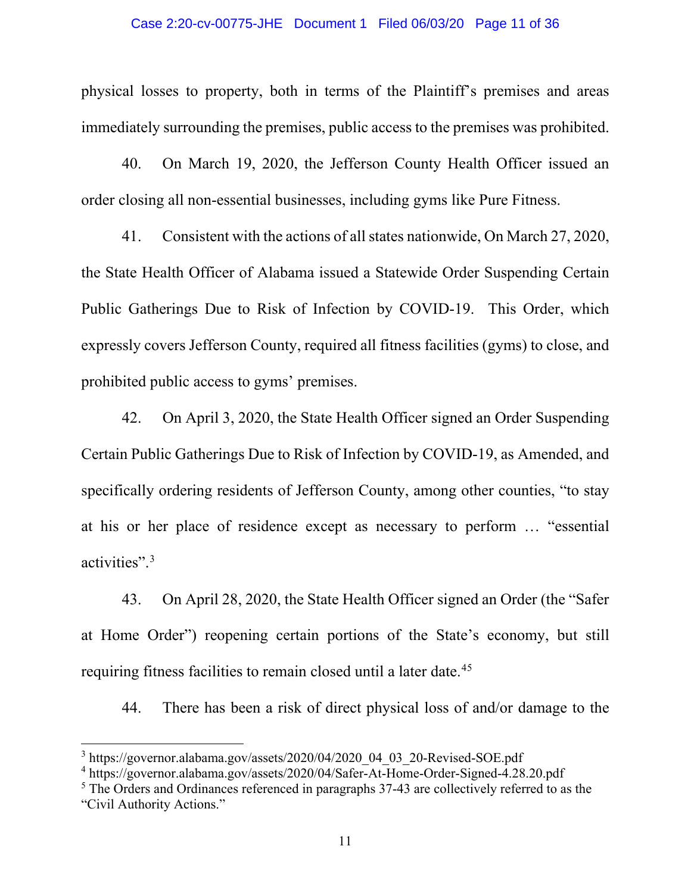#### Case 2:20-cv-00775-JHE Document 1 Filed 06/03/20 Page 11 of 36

physical losses to property, both in terms of the Plaintiff's premises and areas immediately surrounding the premises, public access to the premises was prohibited.

40. On March 19, 2020, the Jefferson County Health Officer issued an order closing all non-essential businesses, including gyms like Pure Fitness.

41. Consistent with the actions of all states nationwide, On March 27, 2020, the State Health Officer of Alabama issued a Statewide Order Suspending Certain Public Gatherings Due to Risk of Infection by COVID-19. This Order, which expressly covers Jefferson County, required all fitness facilities (gyms) to close, and prohibited public access to gyms' premises.

42. On April 3, 2020, the State Health Officer signed an Order Suspending Certain Public Gatherings Due to Risk of Infection by COVID-19, as Amended, and specifically ordering residents of Jefferson County, among other counties, "to stay at his or her place of residence except as necessary to perform … "essential activities".[3](#page-10-0)

43. On April 28, 2020, the State Health Officer signed an Order (the "Safer at Home Order") reopening certain portions of the State's economy, but still requiring fitness facilities to remain closed until a later date.<sup>[4](#page-10-1)[5](#page-10-2)</sup>

44. There has been a risk of direct physical loss of and/or damage to the

<span id="page-10-2"></span><sup>5</sup> The Orders and Ordinances referenced in paragraphs 37-43 are collectively referred to as the "Civil Authority Actions."

<span id="page-10-0"></span> $3$  https://governor.alabama.gov/assets/2020/04/2020\_04\_03\_20-Revised-SOE.pdf

<span id="page-10-1"></span><sup>4</sup> https://governor.alabama.gov/assets/2020/04/Safer-At-Home-Order-Signed-4.28.20.pdf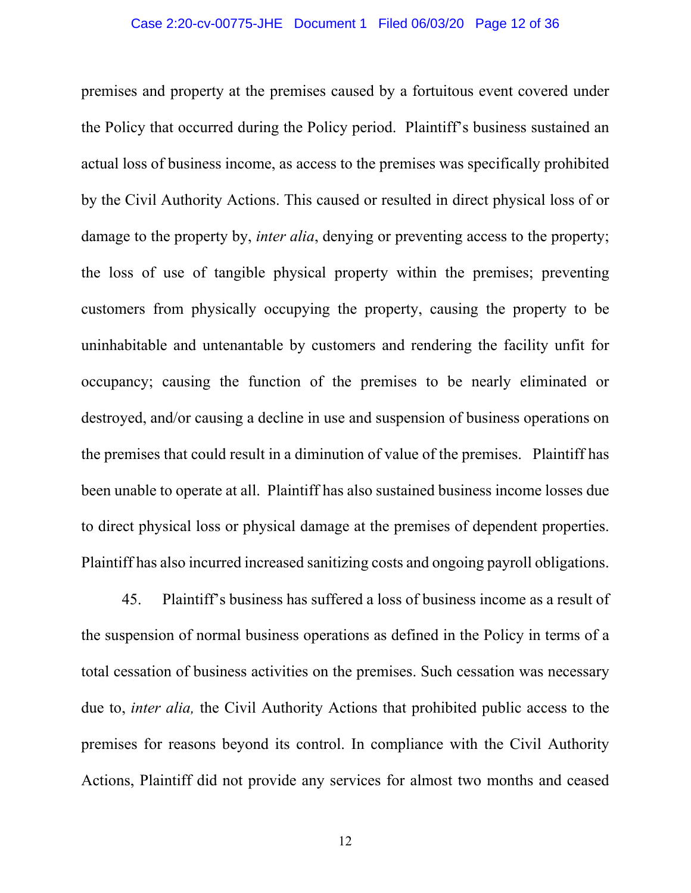#### Case 2:20-cv-00775-JHE Document 1 Filed 06/03/20 Page 12 of 36

premises and property at the premises caused by a fortuitous event covered under the Policy that occurred during the Policy period. Plaintiff's business sustained an actual loss of business income, as access to the premises was specifically prohibited by the Civil Authority Actions. This caused or resulted in direct physical loss of or damage to the property by, *inter alia*, denying or preventing access to the property; the loss of use of tangible physical property within the premises; preventing customers from physically occupying the property, causing the property to be uninhabitable and untenantable by customers and rendering the facility unfit for occupancy; causing the function of the premises to be nearly eliminated or destroyed, and/or causing a decline in use and suspension of business operations on the premises that could result in a diminution of value of the premises. Plaintiff has been unable to operate at all. Plaintiff has also sustained business income losses due to direct physical loss or physical damage at the premises of dependent properties. Plaintiff has also incurred increased sanitizing costs and ongoing payroll obligations.

45. Plaintiff's business has suffered a loss of business income as a result of the suspension of normal business operations as defined in the Policy in terms of a total cessation of business activities on the premises. Such cessation was necessary due to, *inter alia,* the Civil Authority Actions that prohibited public access to the premises for reasons beyond its control. In compliance with the Civil Authority Actions, Plaintiff did not provide any services for almost two months and ceased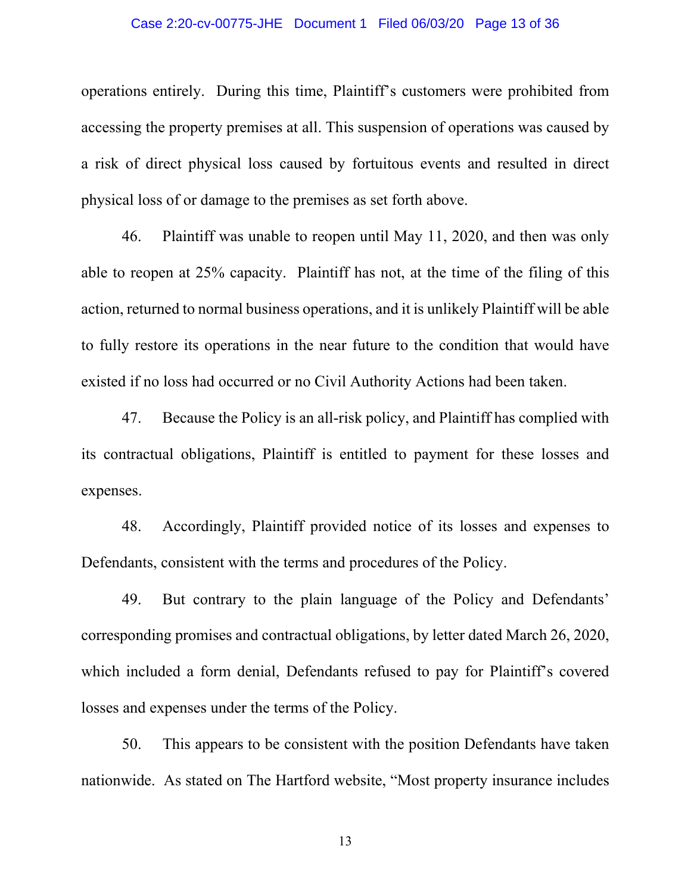#### Case 2:20-cv-00775-JHE Document 1 Filed 06/03/20 Page 13 of 36

operations entirely. During this time, Plaintiff's customers were prohibited from accessing the property premises at all. This suspension of operations was caused by a risk of direct physical loss caused by fortuitous events and resulted in direct physical loss of or damage to the premises as set forth above.

46. Plaintiff was unable to reopen until May 11, 2020, and then was only able to reopen at 25% capacity. Plaintiff has not, at the time of the filing of this action, returned to normal business operations, and it is unlikely Plaintiff will be able to fully restore its operations in the near future to the condition that would have existed if no loss had occurred or no Civil Authority Actions had been taken.

47. Because the Policy is an all-risk policy, and Plaintiff has complied with its contractual obligations, Plaintiff is entitled to payment for these losses and expenses.

48. Accordingly, Plaintiff provided notice of its losses and expenses to Defendants, consistent with the terms and procedures of the Policy.

49. But contrary to the plain language of the Policy and Defendants' corresponding promises and contractual obligations, by letter dated March 26, 2020, which included a form denial, Defendants refused to pay for Plaintiff's covered losses and expenses under the terms of the Policy.

50. This appears to be consistent with the position Defendants have taken nationwide. As stated on The Hartford website, "Most property insurance includes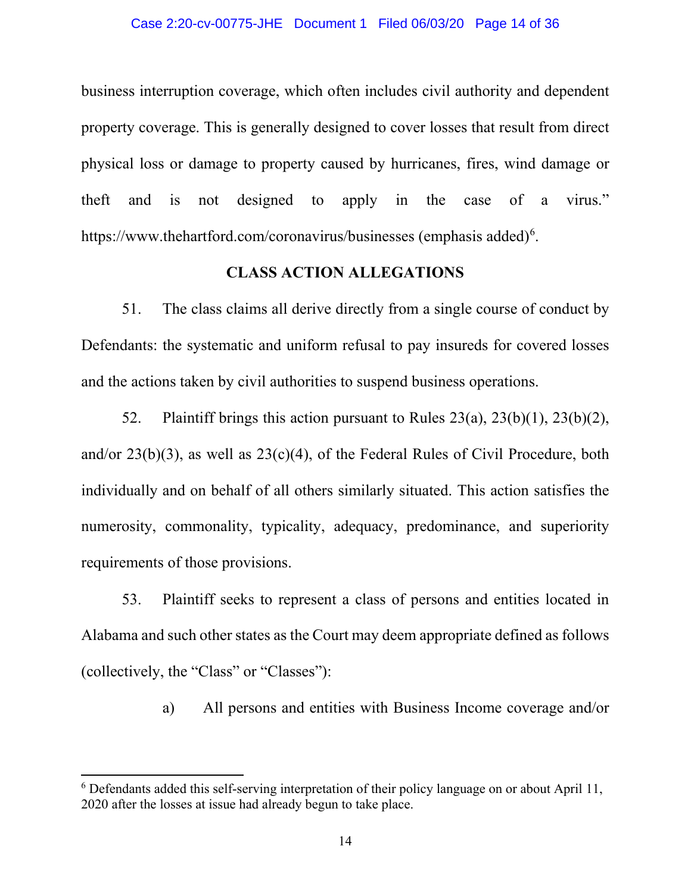#### Case 2:20-cv-00775-JHE Document 1 Filed 06/03/20 Page 14 of 36

business interruption coverage, which often includes civil authority and dependent property coverage. This is generally designed to cover losses that result from direct physical loss or damage to property caused by hurricanes, fires, wind damage or theft and is not designed to apply in the case of a virus." <https://www.thehartford.com/coronavirus/businesses> (emphasis added)<sup>[6](#page-13-0)</sup>.

#### **CLASS ACTION ALLEGATIONS**

51. The class claims all derive directly from a single course of conduct by Defendants: the systematic and uniform refusal to pay insureds for covered losses and the actions taken by civil authorities to suspend business operations.

52. Plaintiff brings this action pursuant to Rules 23(a), 23(b)(1), 23(b)(2), and/or 23(b)(3), as well as 23(c)(4), of the Federal Rules of Civil Procedure, both individually and on behalf of all others similarly situated. This action satisfies the numerosity, commonality, typicality, adequacy, predominance, and superiority requirements of those provisions.

53. Plaintiff seeks to represent a class of persons and entities located in Alabama and such other states as the Court may deem appropriate defined as follows (collectively, the "Class" or "Classes"):

a) All persons and entities with Business Income coverage and/or

<span id="page-13-0"></span><sup>6</sup> Defendants added this self-serving interpretation of their policy language on or about April 11, 2020 after the losses at issue had already begun to take place.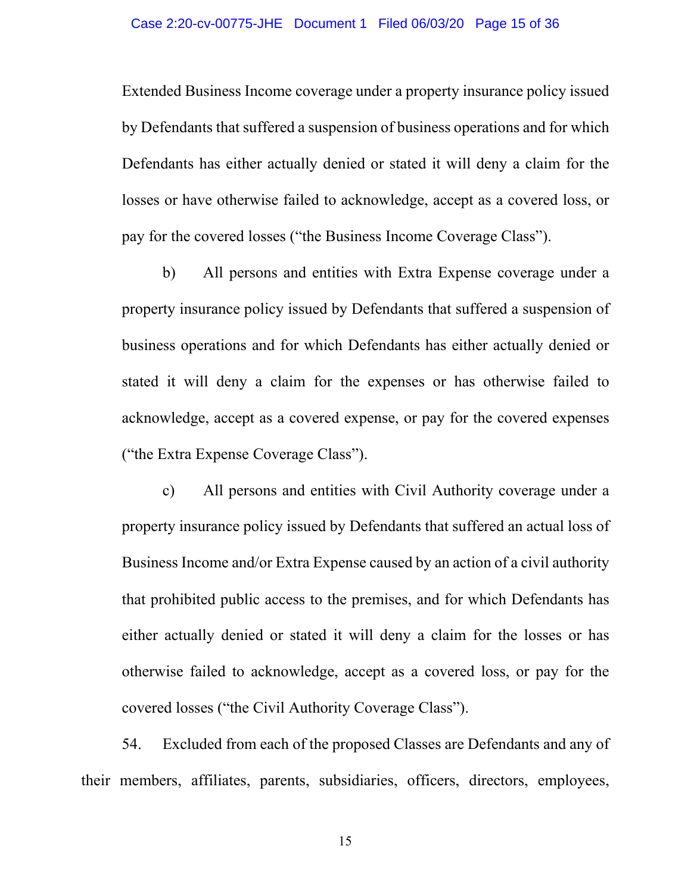Extended Business Income coverage under a property insurance policy issued by Defendants that suffered a suspension of business operations and for which Defendants has either actually denied or stated it will deny a claim for the losses or have otherwise failed to acknowledge, accept as a covered loss, or pay for the covered losses ("the Business Income Coverage Class").

b) All persons and entities with Extra Expense coverage under a property insurance policy issued by Defendants that suffered a suspension of business operations and for which Defendants has either actually denied or stated it will deny a claim for the expenses or has otherwise failed to acknowledge, accept as a covered expense, or pay for the covered expenses ("the Extra Expense Coverage Class").

c) All persons and entities with Civil Authority coverage under a property insurance policy issued by Defendants that suffered an actual loss of Business Income and/or Extra Expense caused by an action of a civil authority that prohibited public access to the premises, and for which Defendants has either actually denied or stated it will deny a claim for the losses or has otherwise failed to acknowledge, accept as a covered loss, or pay for the covered losses ("the Civil Authority Coverage Class").

54. Excluded from each of the proposed Classes are Defendants and any of their members, affiliates, parents, subsidiaries, officers, directors, employees,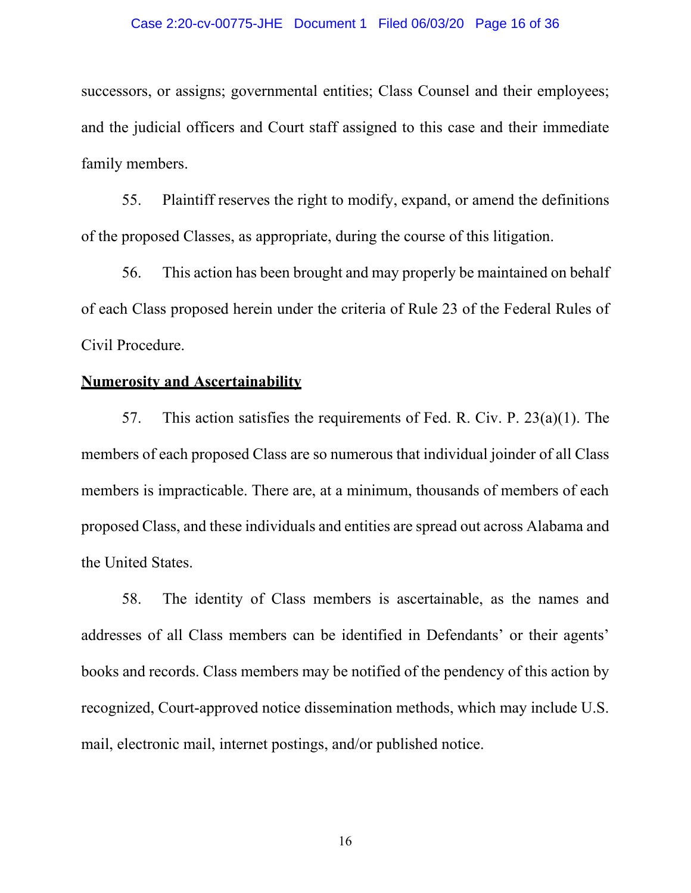### Case 2:20-cv-00775-JHE Document 1 Filed 06/03/20 Page 16 of 36

successors, or assigns; governmental entities; Class Counsel and their employees; and the judicial officers and Court staff assigned to this case and their immediate family members.

55. Plaintiff reserves the right to modify, expand, or amend the definitions of the proposed Classes, as appropriate, during the course of this litigation.

56. This action has been brought and may properly be maintained on behalf of each Class proposed herein under the criteria of Rule 23 of the Federal Rules of Civil Procedure.

# **Numerosity and Ascertainability**

57. This action satisfies the requirements of Fed. R. Civ. P. 23(a)(1). The members of each proposed Class are so numerous that individual joinder of all Class members is impracticable. There are, at a minimum, thousands of members of each proposed Class, and these individuals and entities are spread out across Alabama and the United States.

58. The identity of Class members is ascertainable, as the names and addresses of all Class members can be identified in Defendants' or their agents' books and records. Class members may be notified of the pendency of this action by recognized, Court-approved notice dissemination methods, which may include U.S. mail, electronic mail, internet postings, and/or published notice.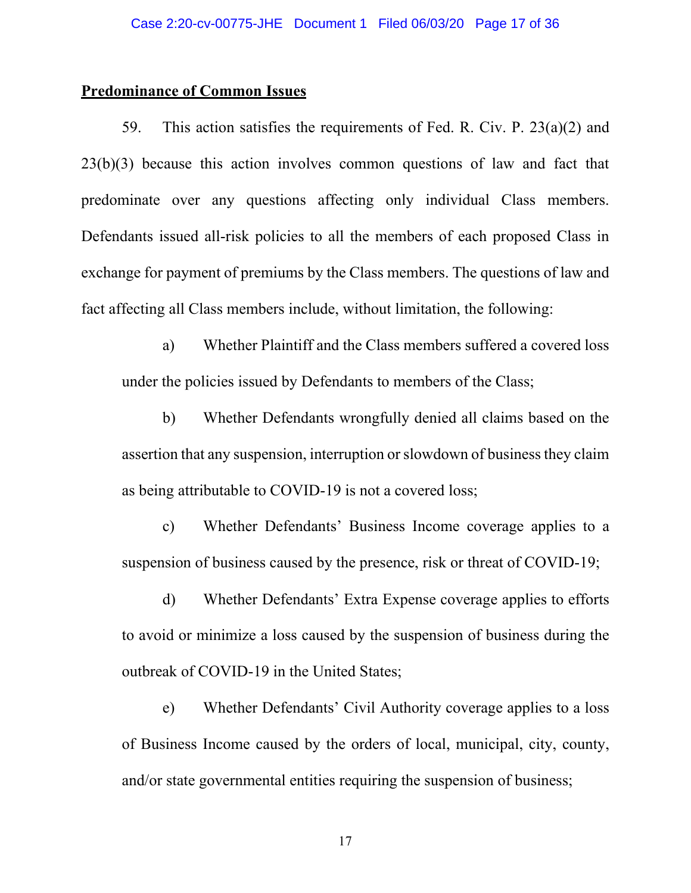### **Predominance of Common Issues**

59. This action satisfies the requirements of Fed. R. Civ. P. 23(a)(2) and 23(b)(3) because this action involves common questions of law and fact that predominate over any questions affecting only individual Class members. Defendants issued all-risk policies to all the members of each proposed Class in exchange for payment of premiums by the Class members. The questions of law and fact affecting all Class members include, without limitation, the following:

a) Whether Plaintiff and the Class members suffered a covered loss under the policies issued by Defendants to members of the Class;

b) Whether Defendants wrongfully denied all claims based on the assertion that any suspension, interruption or slowdown of business they claim as being attributable to COVID-19 is not a covered loss;

c) Whether Defendants' Business Income coverage applies to a suspension of business caused by the presence, risk or threat of COVID-19;

d) Whether Defendants' Extra Expense coverage applies to efforts to avoid or minimize a loss caused by the suspension of business during the outbreak of COVID-19 in the United States;

e) Whether Defendants' Civil Authority coverage applies to a loss of Business Income caused by the orders of local, municipal, city, county, and/or state governmental entities requiring the suspension of business;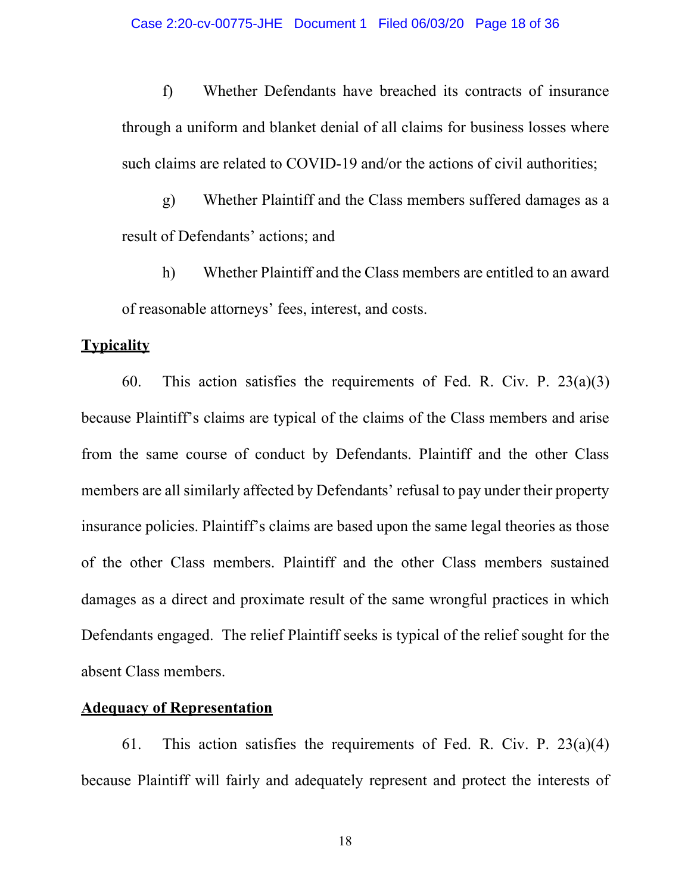f) Whether Defendants have breached its contracts of insurance through a uniform and blanket denial of all claims for business losses where such claims are related to COVID-19 and/or the actions of civil authorities;

g) Whether Plaintiff and the Class members suffered damages as a result of Defendants' actions; and

h) Whether Plaintiff and the Class members are entitled to an award of reasonable attorneys' fees, interest, and costs.

#### **Typicality**

60. This action satisfies the requirements of Fed. R. Civ. P.  $23(a)(3)$ because Plaintiff's claims are typical of the claims of the Class members and arise from the same course of conduct by Defendants. Plaintiff and the other Class members are all similarly affected by Defendants' refusal to pay under their property insurance policies. Plaintiff's claims are based upon the same legal theories as those of the other Class members. Plaintiff and the other Class members sustained damages as a direct and proximate result of the same wrongful practices in which Defendants engaged. The relief Plaintiff seeks is typical of the relief sought for the absent Class members.

### **Adequacy of Representation**

61. This action satisfies the requirements of Fed. R. Civ. P.  $23(a)(4)$ because Plaintiff will fairly and adequately represent and protect the interests of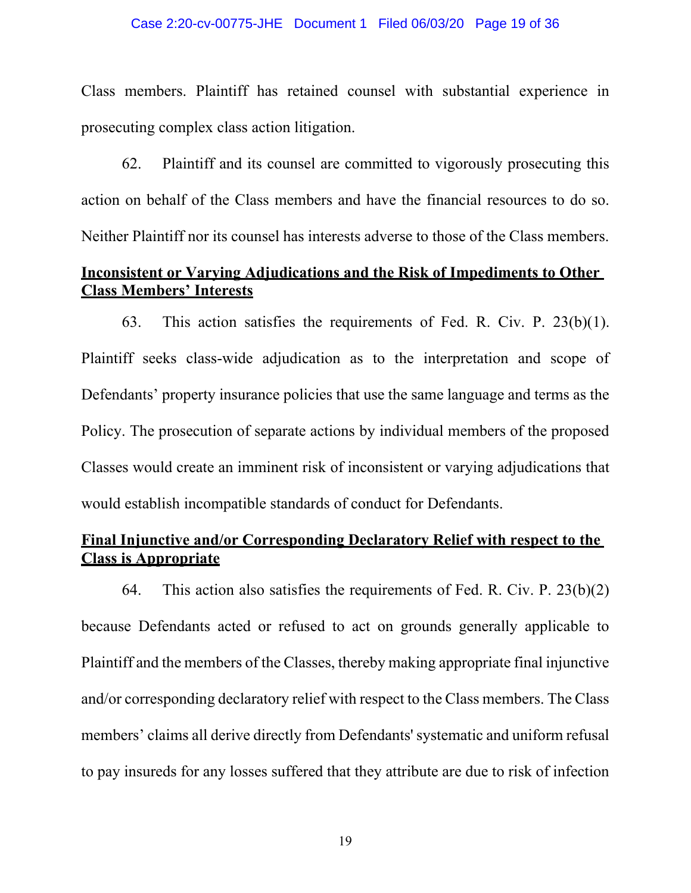#### Case 2:20-cv-00775-JHE Document 1 Filed 06/03/20 Page 19 of 36

Class members. Plaintiff has retained counsel with substantial experience in prosecuting complex class action litigation.

62. Plaintiff and its counsel are committed to vigorously prosecuting this action on behalf of the Class members and have the financial resources to do so. Neither Plaintiff nor its counsel has interests adverse to those of the Class members.

## **Inconsistent or Varying Adjudications and the Risk of Impediments to Other Class Members' Interests**

63. This action satisfies the requirements of Fed. R. Civ. P. 23(b)(1). Plaintiff seeks class-wide adjudication as to the interpretation and scope of Defendants' property insurance policies that use the same language and terms as the Policy. The prosecution of separate actions by individual members of the proposed Classes would create an imminent risk of inconsistent or varying adjudications that would establish incompatible standards of conduct for Defendants.

# **Final Injunctive and/or Corresponding Declaratory Relief with respect to the Class is Appropriate**

64. This action also satisfies the requirements of Fed. R. Civ. P.  $23(b)(2)$ because Defendants acted or refused to act on grounds generally applicable to Plaintiff and the members of the Classes, thereby making appropriate final injunctive and/or corresponding declaratory relief with respect to the Class members. The Class members' claims all derive directly from Defendants' systematic and uniform refusal to pay insureds for any losses suffered that they attribute are due to risk of infection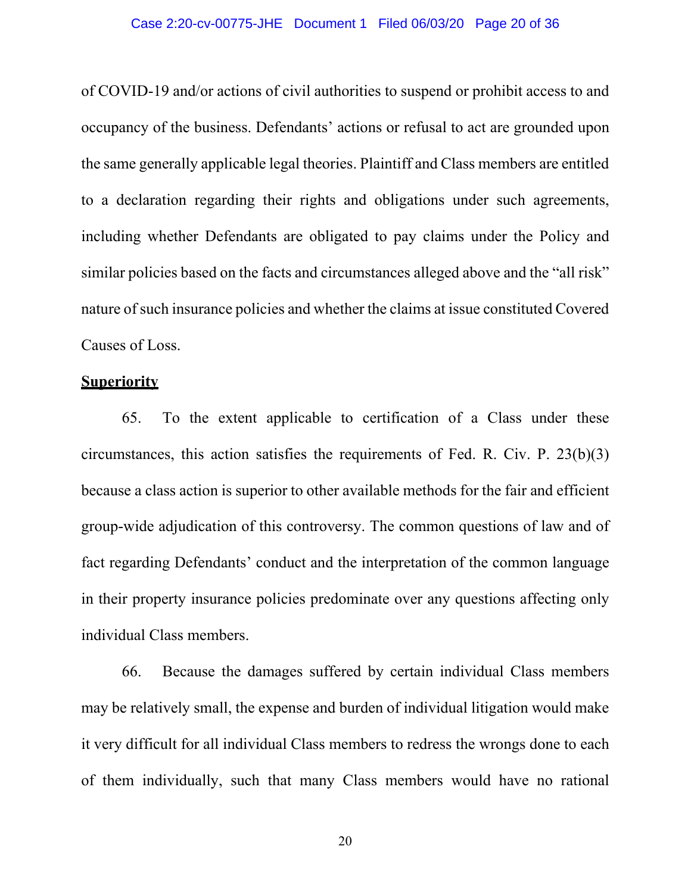#### Case 2:20-cv-00775-JHE Document 1 Filed 06/03/20 Page 20 of 36

of COVID-19 and/or actions of civil authorities to suspend or prohibit access to and occupancy of the business. Defendants' actions or refusal to act are grounded upon the same generally applicable legal theories. Plaintiff and Class members are entitled to a declaration regarding their rights and obligations under such agreements, including whether Defendants are obligated to pay claims under the Policy and similar policies based on the facts and circumstances alleged above and the "all risk" nature of such insurance policies and whether the claims at issue constituted Covered Causes of Loss.

# **Superiority**

65. To the extent applicable to certification of a Class under these circumstances, this action satisfies the requirements of Fed. R. Civ. P. 23(b)(3) because a class action is superior to other available methods for the fair and efficient group-wide adjudication of this controversy. The common questions of law and of fact regarding Defendants' conduct and the interpretation of the common language in their property insurance policies predominate over any questions affecting only individual Class members.

66. Because the damages suffered by certain individual Class members may be relatively small, the expense and burden of individual litigation would make it very difficult for all individual Class members to redress the wrongs done to each of them individually, such that many Class members would have no rational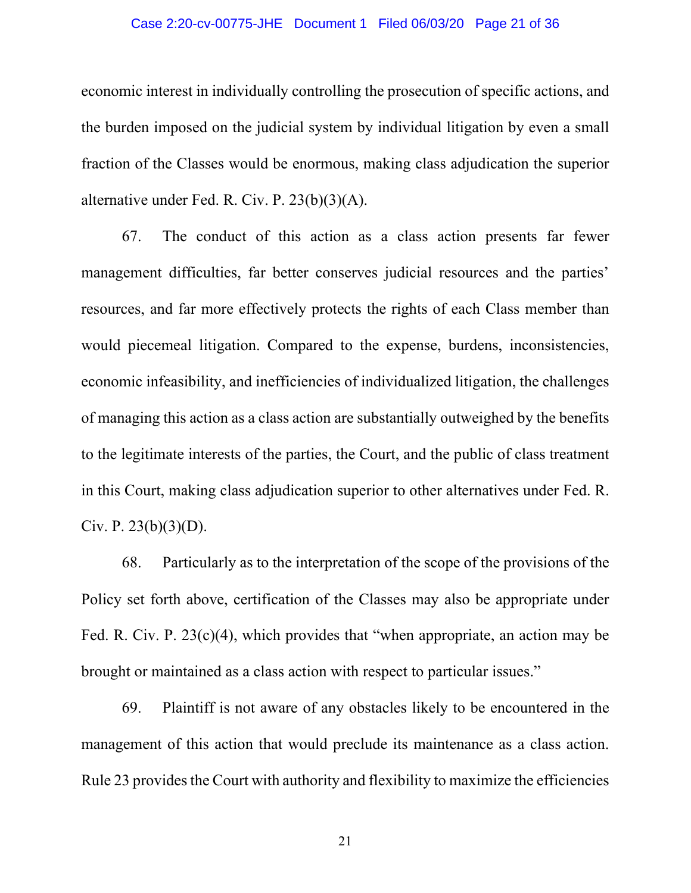#### Case 2:20-cv-00775-JHE Document 1 Filed 06/03/20 Page 21 of 36

economic interest in individually controlling the prosecution of specific actions, and the burden imposed on the judicial system by individual litigation by even a small fraction of the Classes would be enormous, making class adjudication the superior alternative under Fed. R. Civ. P. 23(b)(3)(A).

67. The conduct of this action as a class action presents far fewer management difficulties, far better conserves judicial resources and the parties' resources, and far more effectively protects the rights of each Class member than would piecemeal litigation. Compared to the expense, burdens, inconsistencies, economic infeasibility, and inefficiencies of individualized litigation, the challenges of managing this action as a class action are substantially outweighed by the benefits to the legitimate interests of the parties, the Court, and the public of class treatment in this Court, making class adjudication superior to other alternatives under Fed. R. Civ. P.  $23(b)(3)(D)$ .

68. Particularly as to the interpretation of the scope of the provisions of the Policy set forth above, certification of the Classes may also be appropriate under Fed. R. Civ. P. 23(c)(4), which provides that "when appropriate, an action may be brought or maintained as a class action with respect to particular issues."

69. Plaintiff is not aware of any obstacles likely to be encountered in the management of this action that would preclude its maintenance as a class action. Rule 23 provides the Court with authority and flexibility to maximize the efficiencies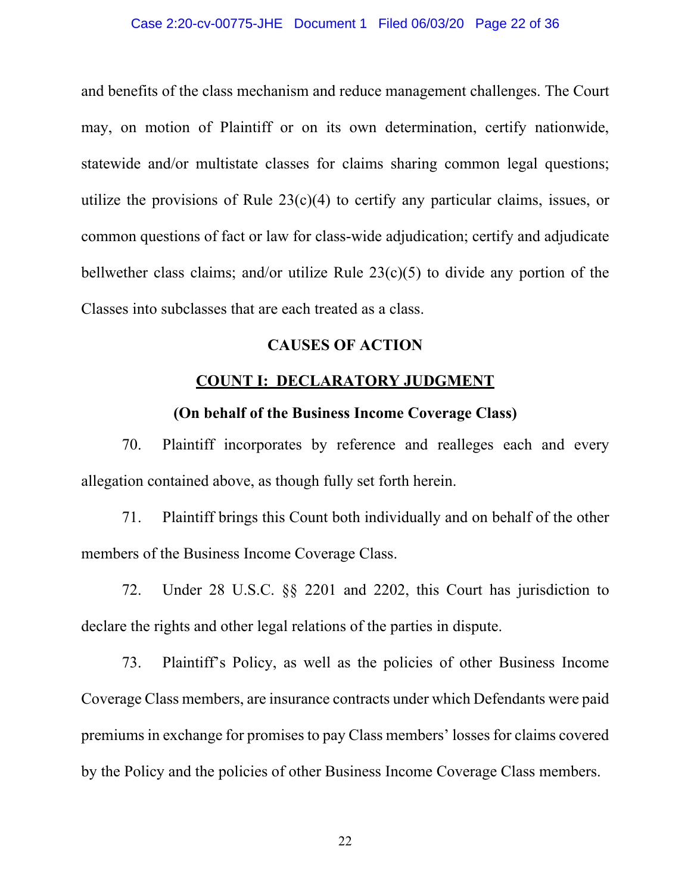#### Case 2:20-cv-00775-JHE Document 1 Filed 06/03/20 Page 22 of 36

and benefits of the class mechanism and reduce management challenges. The Court may, on motion of Plaintiff or on its own determination, certify nationwide, statewide and/or multistate classes for claims sharing common legal questions; utilize the provisions of Rule 23(c)(4) to certify any particular claims, issues, or common questions of fact or law for class-wide adjudication; certify and adjudicate bellwether class claims; and/or utilize Rule 23(c)(5) to divide any portion of the Classes into subclasses that are each treated as a class.

### **CAUSES OF ACTION**

## **COUNT I: DECLARATORY JUDGMENT**

#### **(On behalf of the Business Income Coverage Class)**

70. Plaintiff incorporates by reference and realleges each and every allegation contained above, as though fully set forth herein.

71. Plaintiff brings this Count both individually and on behalf of the other members of the Business Income Coverage Class.

72. Under 28 U.S.C. §§ 2201 and 2202, this Court has jurisdiction to declare the rights and other legal relations of the parties in dispute.

73. Plaintiff's Policy, as well as the policies of other Business Income Coverage Class members, are insurance contracts under which Defendants were paid premiums in exchange for promises to pay Class members' losses for claims covered by the Policy and the policies of other Business Income Coverage Class members.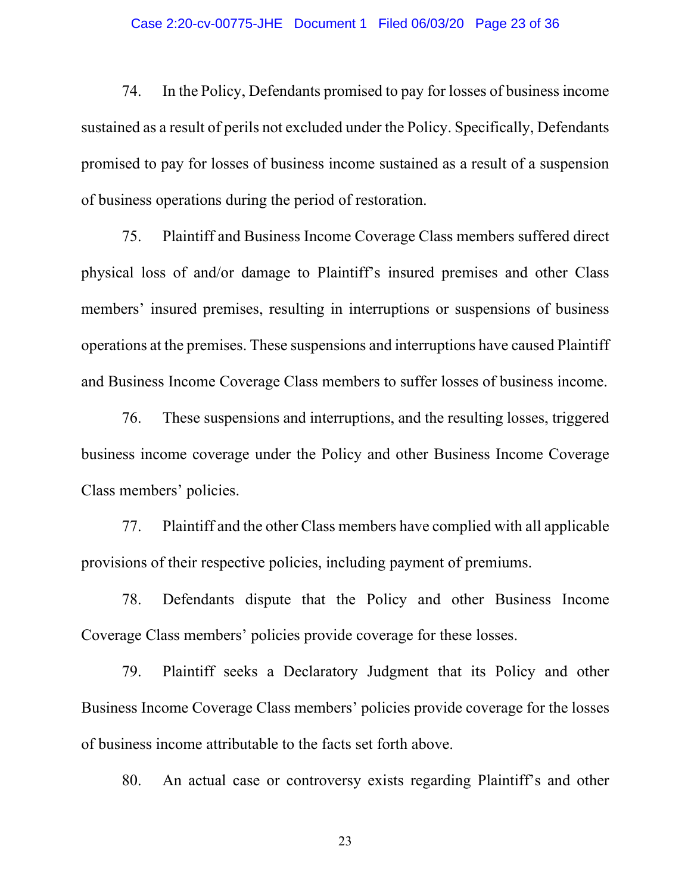### Case 2:20-cv-00775-JHE Document 1 Filed 06/03/20 Page 23 of 36

74. In the Policy, Defendants promised to pay for losses of business income sustained as a result of perils not excluded under the Policy. Specifically, Defendants promised to pay for losses of business income sustained as a result of a suspension of business operations during the period of restoration.

75. Plaintiff and Business Income Coverage Class members suffered direct physical loss of and/or damage to Plaintiff's insured premises and other Class members' insured premises, resulting in interruptions or suspensions of business operations at the premises. These suspensions and interruptions have caused Plaintiff and Business Income Coverage Class members to suffer losses of business income.

76. These suspensions and interruptions, and the resulting losses, triggered business income coverage under the Policy and other Business Income Coverage Class members' policies.

77. Plaintiff and the other Class members have complied with all applicable provisions of their respective policies, including payment of premiums.

78. Defendants dispute that the Policy and other Business Income Coverage Class members' policies provide coverage for these losses.

79. Plaintiff seeks a Declaratory Judgment that its Policy and other Business Income Coverage Class members' policies provide coverage for the losses of business income attributable to the facts set forth above.

80. An actual case or controversy exists regarding Plaintiff's and other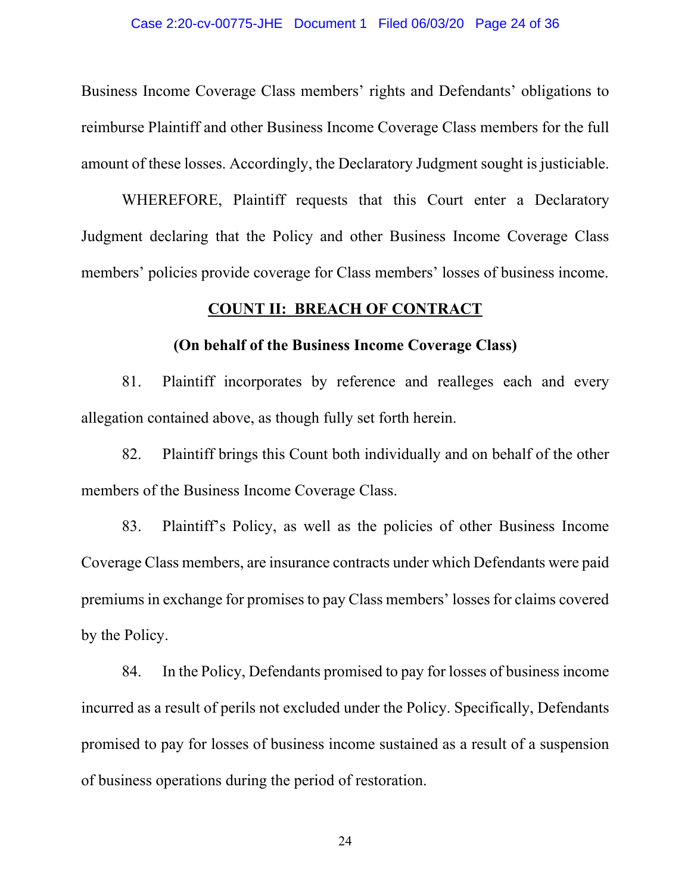Business Income Coverage Class members' rights and Defendants' obligations to reimburse Plaintiff and other Business Income Coverage Class members for the full amount of these losses. Accordingly, the Declaratory Judgment sought is justiciable.

WHEREFORE, Plaintiff requests that this Court enter a Declaratory Judgment declaring that the Policy and other Business Income Coverage Class members' policies provide coverage for Class members' losses of business income.

## **COUNT II: BREACH OF CONTRACT**

#### **(On behalf of the Business Income Coverage Class)**

81. Plaintiff incorporates by reference and realleges each and every allegation contained above, as though fully set forth herein.

82. Plaintiff brings this Count both individually and on behalf of the other members of the Business Income Coverage Class.

83. Plaintiff's Policy, as well as the policies of other Business Income Coverage Class members, are insurance contracts under which Defendants were paid premiums in exchange for promises to pay Class members' losses for claims covered by the Policy.

84. In the Policy, Defendants promised to pay for losses of business income incurred as a result of perils not excluded under the Policy. Specifically, Defendants promised to pay for losses of business income sustained as a result of a suspension of business operations during the period of restoration.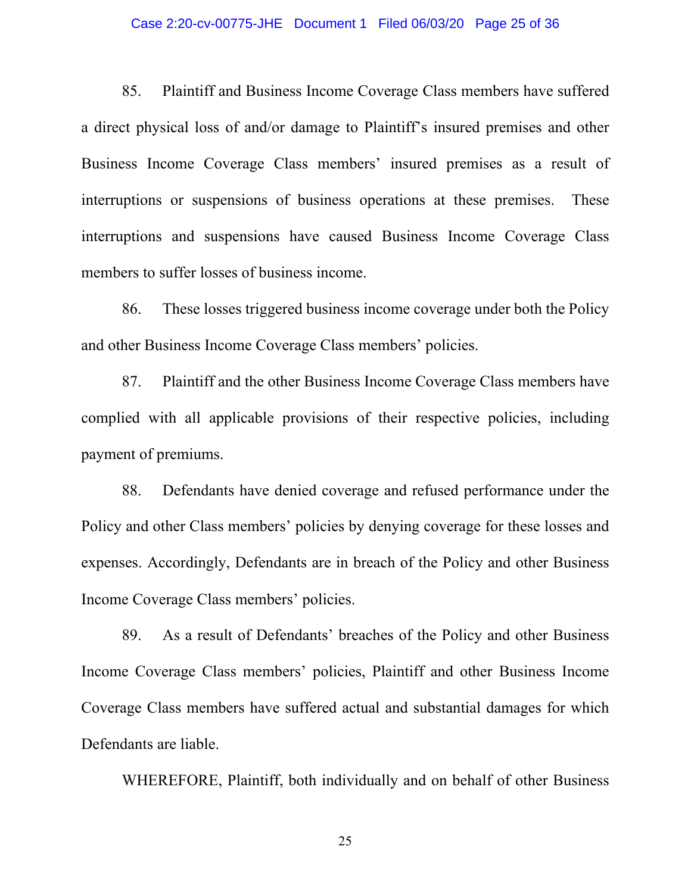#### Case 2:20-cv-00775-JHE Document 1 Filed 06/03/20 Page 25 of 36

85. Plaintiff and Business Income Coverage Class members have suffered a direct physical loss of and/or damage to Plaintiff's insured premises and other Business Income Coverage Class members' insured premises as a result of interruptions or suspensions of business operations at these premises. These interruptions and suspensions have caused Business Income Coverage Class members to suffer losses of business income.

86. These losses triggered business income coverage under both the Policy and other Business Income Coverage Class members' policies.

87. Plaintiff and the other Business Income Coverage Class members have complied with all applicable provisions of their respective policies, including payment of premiums.

88. Defendants have denied coverage and refused performance under the Policy and other Class members' policies by denying coverage for these losses and expenses. Accordingly, Defendants are in breach of the Policy and other Business Income Coverage Class members' policies.

89. As a result of Defendants' breaches of the Policy and other Business Income Coverage Class members' policies, Plaintiff and other Business Income Coverage Class members have suffered actual and substantial damages for which Defendants are liable.

WHEREFORE, Plaintiff, both individually and on behalf of other Business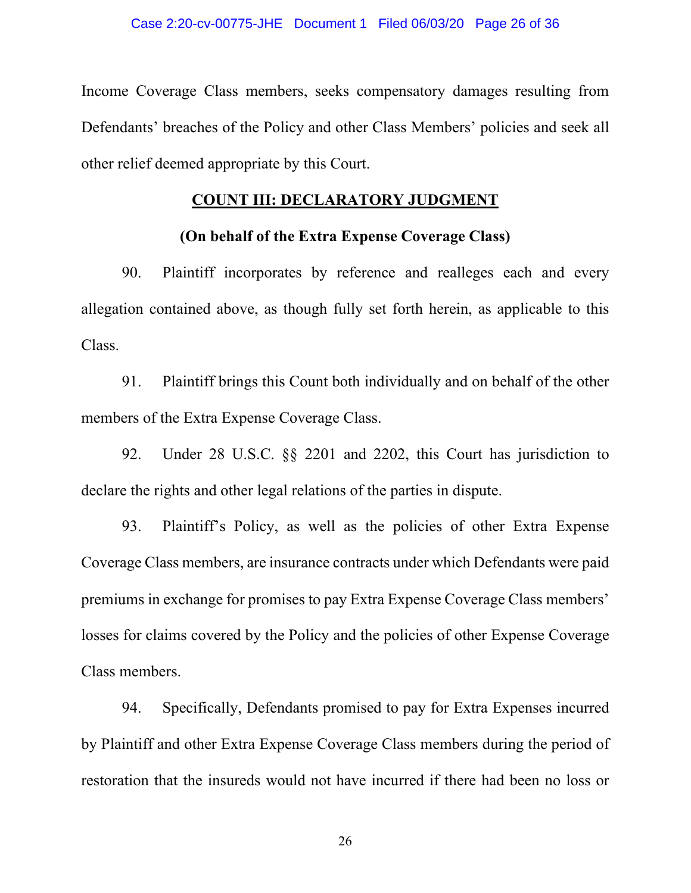Income Coverage Class members, seeks compensatory damages resulting from Defendants' breaches of the Policy and other Class Members' policies and seek all other relief deemed appropriate by this Court.

# **COUNT III: DECLARATORY JUDGMENT**

# **(On behalf of the Extra Expense Coverage Class)**

90. Plaintiff incorporates by reference and realleges each and every allegation contained above, as though fully set forth herein, as applicable to this Class.

91. Plaintiff brings this Count both individually and on behalf of the other members of the Extra Expense Coverage Class.

92. Under 28 U.S.C. §§ 2201 and 2202, this Court has jurisdiction to declare the rights and other legal relations of the parties in dispute.

93. Plaintiff's Policy, as well as the policies of other Extra Expense Coverage Class members, are insurance contracts under which Defendants were paid premiums in exchange for promises to pay Extra Expense Coverage Class members' losses for claims covered by the Policy and the policies of other Expense Coverage Class members.

94. Specifically, Defendants promised to pay for Extra Expenses incurred by Plaintiff and other Extra Expense Coverage Class members during the period of restoration that the insureds would not have incurred if there had been no loss or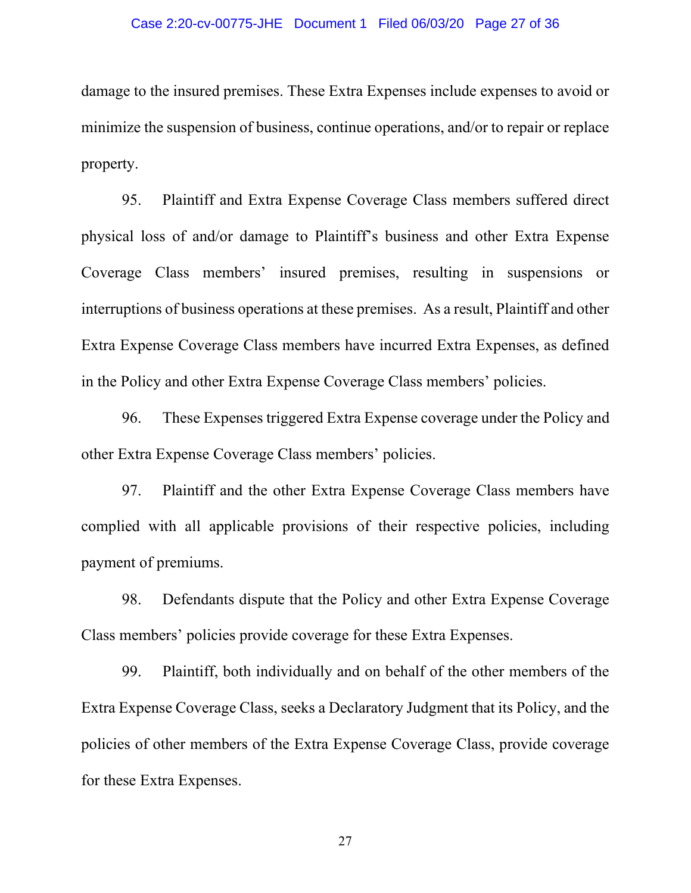### Case 2:20-cv-00775-JHE Document 1 Filed 06/03/20 Page 27 of 36

damage to the insured premises. These Extra Expenses include expenses to avoid or minimize the suspension of business, continue operations, and/or to repair or replace property.

95. Plaintiff and Extra Expense Coverage Class members suffered direct physical loss of and/or damage to Plaintiff's business and other Extra Expense Coverage Class members' insured premises, resulting in suspensions or interruptions of business operations at these premises. As a result, Plaintiff and other Extra Expense Coverage Class members have incurred Extra Expenses, as defined in the Policy and other Extra Expense Coverage Class members' policies.

96. These Expenses triggered Extra Expense coverage under the Policy and other Extra Expense Coverage Class members' policies.

97. Plaintiff and the other Extra Expense Coverage Class members have complied with all applicable provisions of their respective policies, including payment of premiums.

98. Defendants dispute that the Policy and other Extra Expense Coverage Class members' policies provide coverage for these Extra Expenses.

99. Plaintiff, both individually and on behalf of the other members of the Extra Expense Coverage Class, seeks a Declaratory Judgment that its Policy, and the policies of other members of the Extra Expense Coverage Class, provide coverage for these Extra Expenses.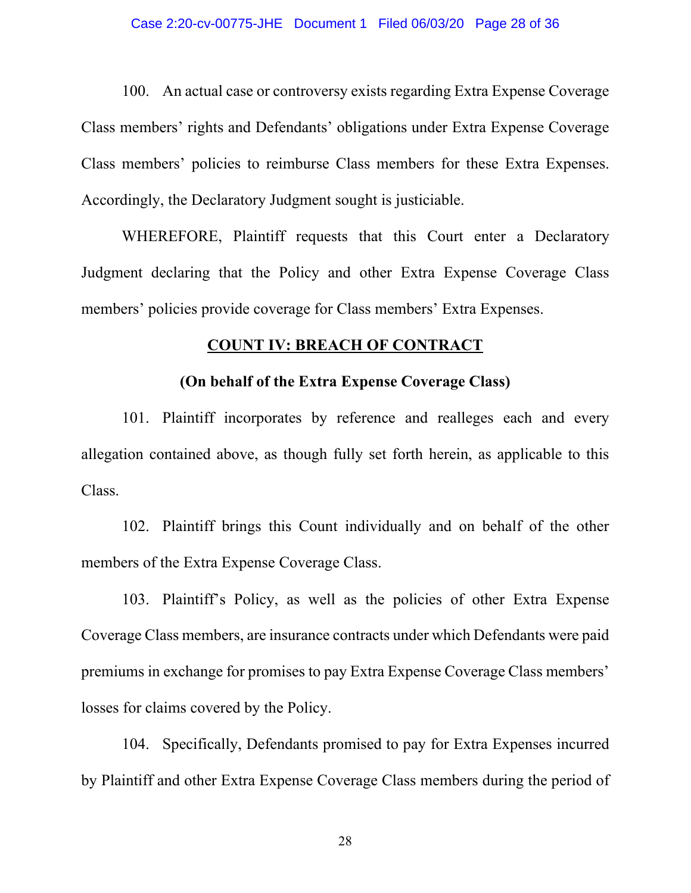100. An actual case or controversy exists regarding Extra Expense Coverage Class members' rights and Defendants' obligations under Extra Expense Coverage Class members' policies to reimburse Class members for these Extra Expenses. Accordingly, the Declaratory Judgment sought is justiciable.

WHEREFORE, Plaintiff requests that this Court enter a Declaratory Judgment declaring that the Policy and other Extra Expense Coverage Class members' policies provide coverage for Class members' Extra Expenses.

#### **COUNT IV: BREACH OF CONTRACT**

## **(On behalf of the Extra Expense Coverage Class)**

101. Plaintiff incorporates by reference and realleges each and every allegation contained above, as though fully set forth herein, as applicable to this Class.

102. Plaintiff brings this Count individually and on behalf of the other members of the Extra Expense Coverage Class.

103. Plaintiff's Policy, as well as the policies of other Extra Expense Coverage Class members, are insurance contracts under which Defendants were paid premiums in exchange for promises to pay Extra Expense Coverage Class members' losses for claims covered by the Policy.

104. Specifically, Defendants promised to pay for Extra Expenses incurred by Plaintiff and other Extra Expense Coverage Class members during the period of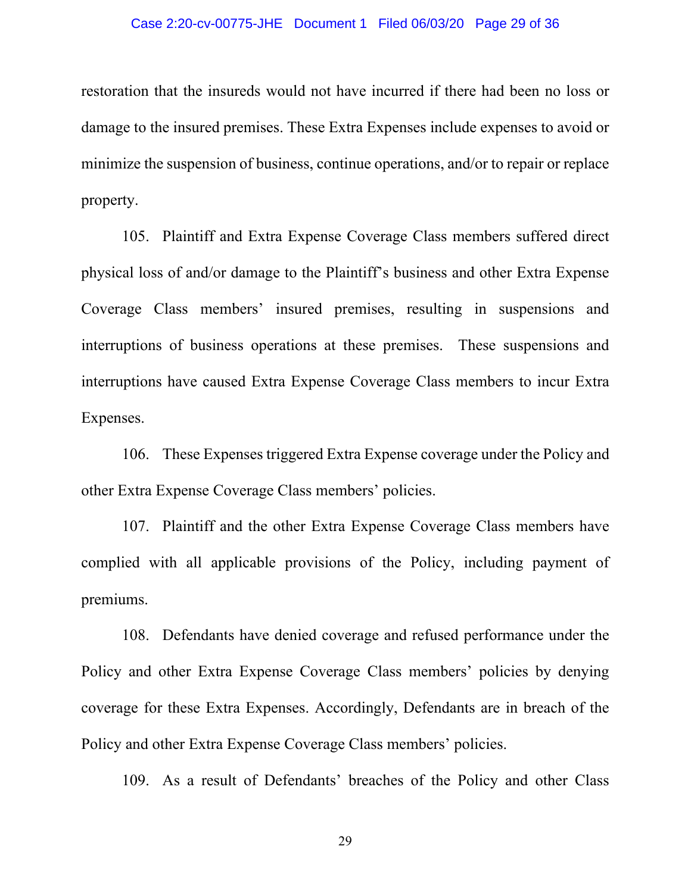### Case 2:20-cv-00775-JHE Document 1 Filed 06/03/20 Page 29 of 36

restoration that the insureds would not have incurred if there had been no loss or damage to the insured premises. These Extra Expenses include expenses to avoid or minimize the suspension of business, continue operations, and/or to repair or replace property.

105. Plaintiff and Extra Expense Coverage Class members suffered direct physical loss of and/or damage to the Plaintiff's business and other Extra Expense Coverage Class members' insured premises, resulting in suspensions and interruptions of business operations at these premises. These suspensions and interruptions have caused Extra Expense Coverage Class members to incur Extra Expenses.

106. These Expenses triggered Extra Expense coverage under the Policy and other Extra Expense Coverage Class members' policies.

107. Plaintiff and the other Extra Expense Coverage Class members have complied with all applicable provisions of the Policy, including payment of premiums.

108. Defendants have denied coverage and refused performance under the Policy and other Extra Expense Coverage Class members' policies by denying coverage for these Extra Expenses. Accordingly, Defendants are in breach of the Policy and other Extra Expense Coverage Class members' policies.

109. As a result of Defendants' breaches of the Policy and other Class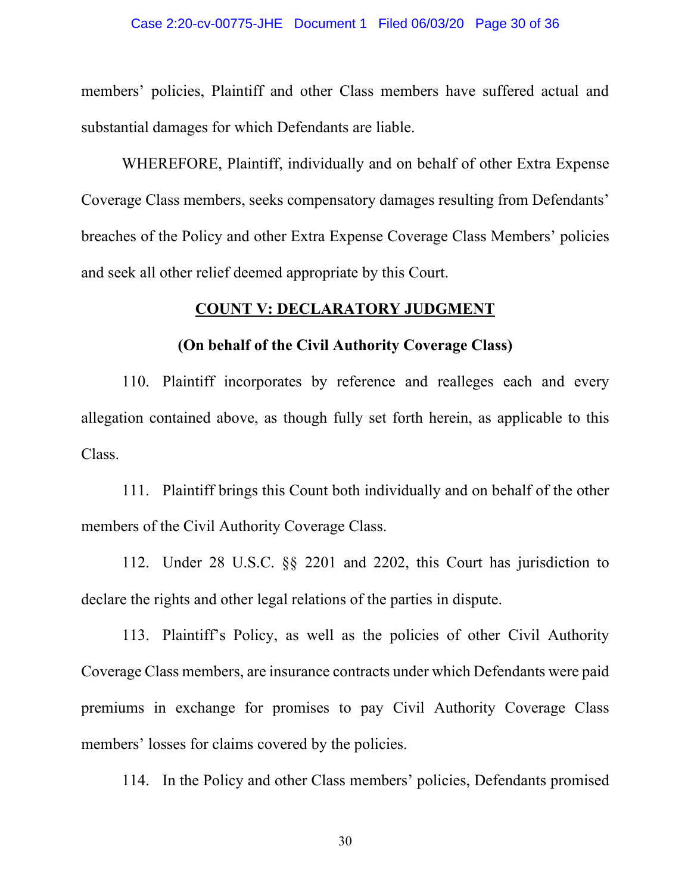### Case 2:20-cv-00775-JHE Document 1 Filed 06/03/20 Page 30 of 36

members' policies, Plaintiff and other Class members have suffered actual and substantial damages for which Defendants are liable.

WHEREFORE, Plaintiff, individually and on behalf of other Extra Expense Coverage Class members, seeks compensatory damages resulting from Defendants' breaches of the Policy and other Extra Expense Coverage Class Members' policies and seek all other relief deemed appropriate by this Court.

### **COUNT V: DECLARATORY JUDGMENT**

### **(On behalf of the Civil Authority Coverage Class)**

110. Plaintiff incorporates by reference and realleges each and every allegation contained above, as though fully set forth herein, as applicable to this Class.

111. Plaintiff brings this Count both individually and on behalf of the other members of the Civil Authority Coverage Class.

112. Under 28 U.S.C. §§ 2201 and 2202, this Court has jurisdiction to declare the rights and other legal relations of the parties in dispute.

113. Plaintiff's Policy, as well as the policies of other Civil Authority Coverage Class members, are insurance contracts under which Defendants were paid premiums in exchange for promises to pay Civil Authority Coverage Class members' losses for claims covered by the policies.

114. In the Policy and other Class members' policies, Defendants promised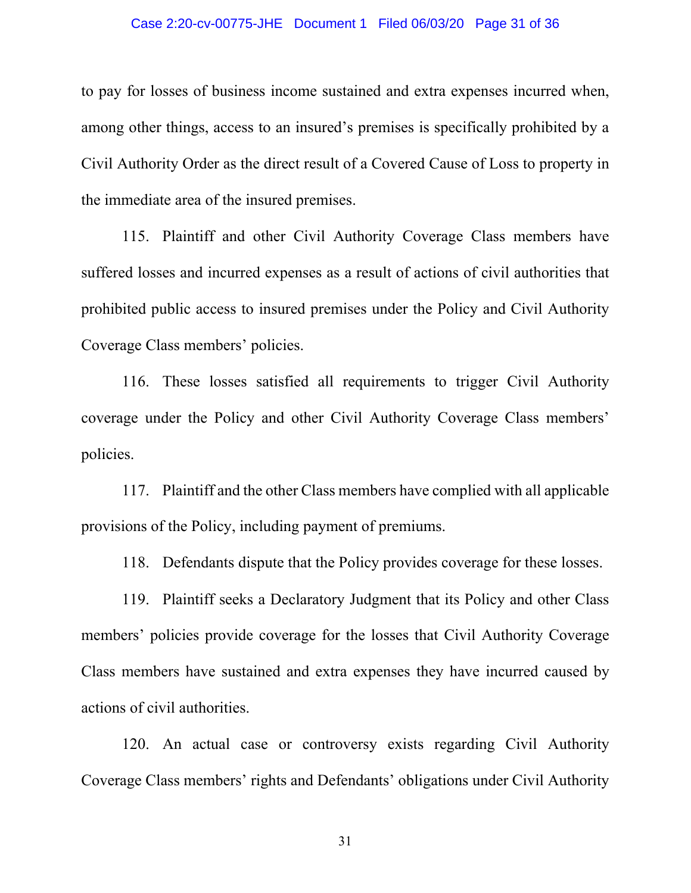#### Case 2:20-cv-00775-JHE Document 1 Filed 06/03/20 Page 31 of 36

to pay for losses of business income sustained and extra expenses incurred when, among other things, access to an insured's premises is specifically prohibited by a Civil Authority Order as the direct result of a Covered Cause of Loss to property in the immediate area of the insured premises.

115. Plaintiff and other Civil Authority Coverage Class members have suffered losses and incurred expenses as a result of actions of civil authorities that prohibited public access to insured premises under the Policy and Civil Authority Coverage Class members' policies.

116. These losses satisfied all requirements to trigger Civil Authority coverage under the Policy and other Civil Authority Coverage Class members' policies.

117. Plaintiff and the other Class members have complied with all applicable provisions of the Policy, including payment of premiums.

118. Defendants dispute that the Policy provides coverage for these losses.

119. Plaintiff seeks a Declaratory Judgment that its Policy and other Class members' policies provide coverage for the losses that Civil Authority Coverage Class members have sustained and extra expenses they have incurred caused by actions of civil authorities.

120. An actual case or controversy exists regarding Civil Authority Coverage Class members' rights and Defendants' obligations under Civil Authority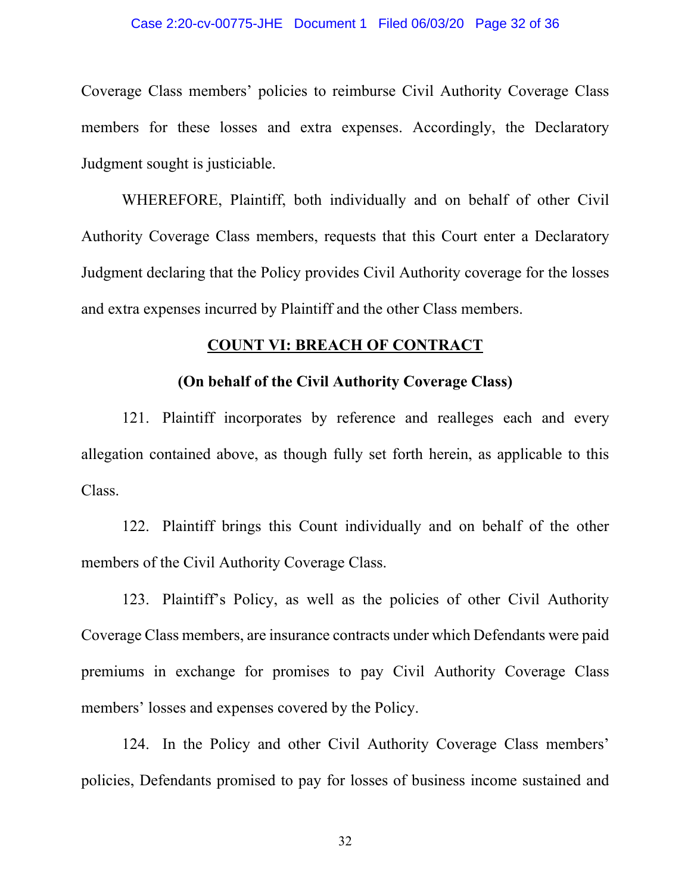#### Case 2:20-cv-00775-JHE Document 1 Filed 06/03/20 Page 32 of 36

Coverage Class members' policies to reimburse Civil Authority Coverage Class members for these losses and extra expenses. Accordingly, the Declaratory Judgment sought is justiciable.

WHEREFORE, Plaintiff, both individually and on behalf of other Civil Authority Coverage Class members, requests that this Court enter a Declaratory Judgment declaring that the Policy provides Civil Authority coverage for the losses and extra expenses incurred by Plaintiff and the other Class members.

#### **COUNT VI: BREACH OF CONTRACT**

## **(On behalf of the Civil Authority Coverage Class)**

121. Plaintiff incorporates by reference and realleges each and every allegation contained above, as though fully set forth herein, as applicable to this Class.

122. Plaintiff brings this Count individually and on behalf of the other members of the Civil Authority Coverage Class.

123. Plaintiff's Policy, as well as the policies of other Civil Authority Coverage Class members, are insurance contracts under which Defendants were paid premiums in exchange for promises to pay Civil Authority Coverage Class members' losses and expenses covered by the Policy.

124. In the Policy and other Civil Authority Coverage Class members' policies, Defendants promised to pay for losses of business income sustained and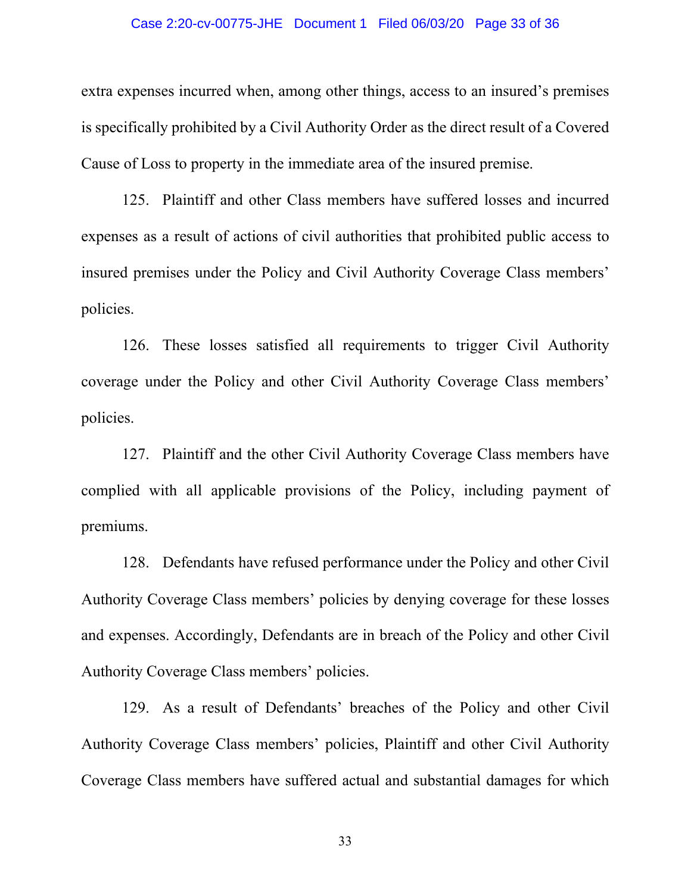### Case 2:20-cv-00775-JHE Document 1 Filed 06/03/20 Page 33 of 36

extra expenses incurred when, among other things, access to an insured's premises is specifically prohibited by a Civil Authority Order as the direct result of a Covered Cause of Loss to property in the immediate area of the insured premise.

125. Plaintiff and other Class members have suffered losses and incurred expenses as a result of actions of civil authorities that prohibited public access to insured premises under the Policy and Civil Authority Coverage Class members' policies.

126. These losses satisfied all requirements to trigger Civil Authority coverage under the Policy and other Civil Authority Coverage Class members' policies.

127. Plaintiff and the other Civil Authority Coverage Class members have complied with all applicable provisions of the Policy, including payment of premiums.

128. Defendants have refused performance under the Policy and other Civil Authority Coverage Class members' policies by denying coverage for these losses and expenses. Accordingly, Defendants are in breach of the Policy and other Civil Authority Coverage Class members' policies.

129. As a result of Defendants' breaches of the Policy and other Civil Authority Coverage Class members' policies, Plaintiff and other Civil Authority Coverage Class members have suffered actual and substantial damages for which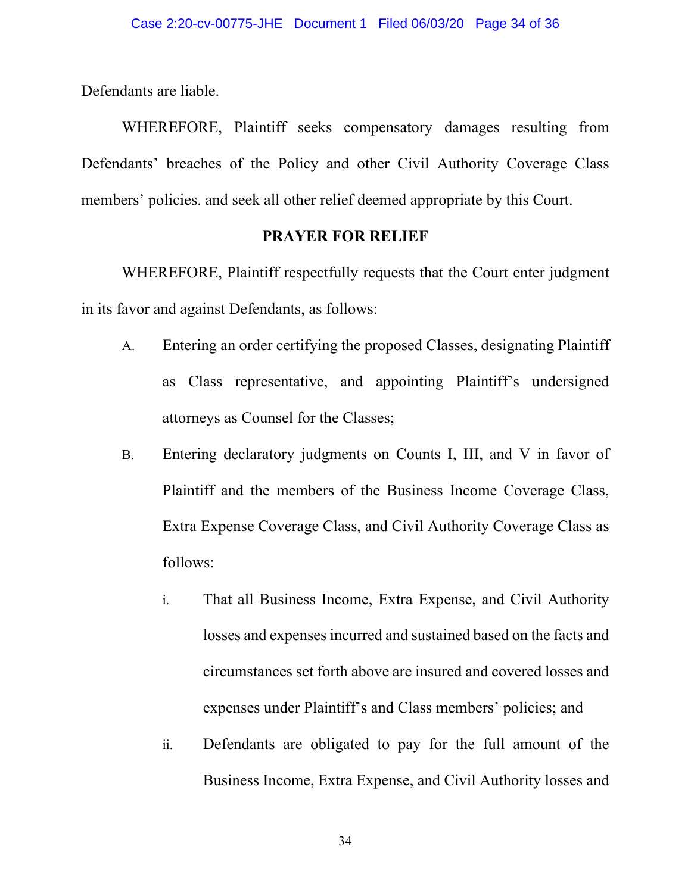Defendants are liable.

WHEREFORE, Plaintiff seeks compensatory damages resulting from Defendants' breaches of the Policy and other Civil Authority Coverage Class members' policies. and seek all other relief deemed appropriate by this Court.

# **PRAYER FOR RELIEF**

WHEREFORE, Plaintiff respectfully requests that the Court enter judgment in its favor and against Defendants, as follows:

- A. Entering an order certifying the proposed Classes, designating Plaintiff as Class representative, and appointing Plaintiff's undersigned attorneys as Counsel for the Classes;
- B. Entering declaratory judgments on Counts I, III, and V in favor of Plaintiff and the members of the Business Income Coverage Class, Extra Expense Coverage Class, and Civil Authority Coverage Class as follows:
	- i. That all Business Income, Extra Expense, and Civil Authority losses and expenses incurred and sustained based on the facts and circumstances set forth above are insured and covered losses and expenses under Plaintiff's and Class members' policies; and
	- ii. Defendants are obligated to pay for the full amount of the Business Income, Extra Expense, and Civil Authority losses and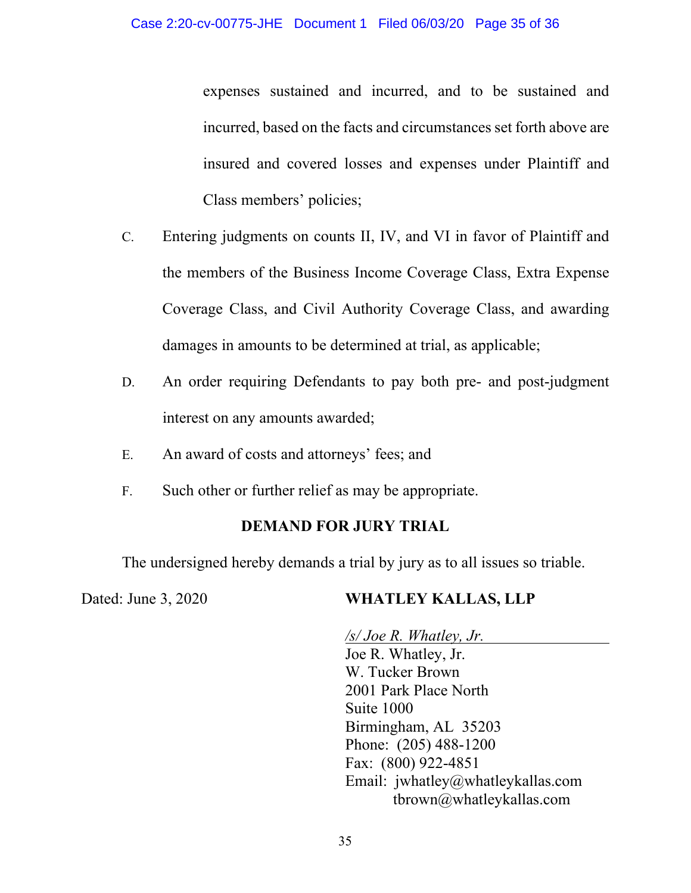expenses sustained and incurred, and to be sustained and incurred, based on the facts and circumstances set forth above are insured and covered losses and expenses under Plaintiff and Class members' policies;

- C. Entering judgments on counts II, IV, and VI in favor of Plaintiff and the members of the Business Income Coverage Class, Extra Expense Coverage Class, and Civil Authority Coverage Class, and awarding damages in amounts to be determined at trial, as applicable;
- D. An order requiring Defendants to pay both pre- and post-judgment interest on any amounts awarded;
- E. An award of costs and attorneys' fees; and
- F. Such other or further relief as may be appropriate.

# **DEMAND FOR JURY TRIAL**

The undersigned hereby demands a trial by jury as to all issues so triable.

# Dated: June 3, 2020<br>
WHATLEY KALLAS, LLP

*/s/ Joe R. Whatley, Jr.* Joe R. Whatley, Jr. W. Tucker Brown 2001 Park Place North Suite 1000 Birmingham, AL 35203 Phone: (205) 488-1200 Fax: (800) 922-4851 Email: jwhatley@whatleykallas.com tbrown@whatleykallas.com